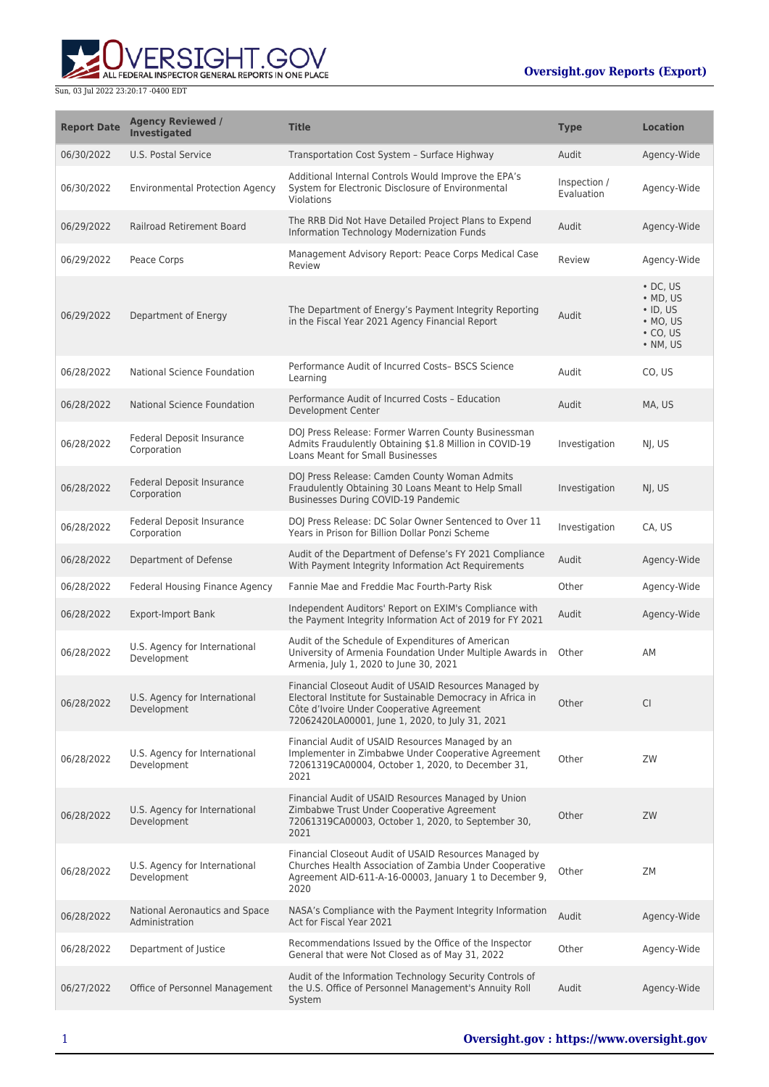ERSIGHT.GOV ALL FEDERAL INSPECTOR GENERAL REPORTS IN ONE PLACE

| <b>Report Date</b> | <b>Agency Reviewed /</b><br><b>Investigated</b>  | <b>Title</b>                                                                                                                                                                                                         | <b>Type</b>                | <b>Location</b>                                                                                  |
|--------------------|--------------------------------------------------|----------------------------------------------------------------------------------------------------------------------------------------------------------------------------------------------------------------------|----------------------------|--------------------------------------------------------------------------------------------------|
| 06/30/2022         | U.S. Postal Service                              | Transportation Cost System - Surface Highway                                                                                                                                                                         | Audit                      | Agency-Wide                                                                                      |
| 06/30/2022         | <b>Environmental Protection Agency</b>           | Additional Internal Controls Would Improve the EPA's<br>System for Electronic Disclosure of Environmental<br>Violations                                                                                              | Inspection /<br>Evaluation | Agency-Wide                                                                                      |
| 06/29/2022         | <b>Railroad Retirement Board</b>                 | The RRB Did Not Have Detailed Project Plans to Expend<br>Information Technology Modernization Funds                                                                                                                  | Audit                      | Agency-Wide                                                                                      |
| 06/29/2022         | Peace Corps                                      | Management Advisory Report: Peace Corps Medical Case<br>Review                                                                                                                                                       | Review                     | Agency-Wide                                                                                      |
| 06/29/2022         | Department of Energy                             | The Department of Energy's Payment Integrity Reporting<br>in the Fiscal Year 2021 Agency Financial Report                                                                                                            | Audit                      | $\cdot$ DC, US<br>$·$ MD, US<br>$\cdot$ ID, US<br>$\bullet$ MO, US<br>$\cdot$ CO, US<br>• NM, US |
| 06/28/2022         | National Science Foundation                      | Performance Audit of Incurred Costs-BSCS Science<br>Learning                                                                                                                                                         | Audit                      | CO, US                                                                                           |
| 06/28/2022         | National Science Foundation                      | Performance Audit of Incurred Costs - Education<br><b>Development Center</b>                                                                                                                                         | Audit                      | MA, US                                                                                           |
| 06/28/2022         | Federal Deposit Insurance<br>Corporation         | DOJ Press Release: Former Warren County Businessman<br>Admits Fraudulently Obtaining \$1.8 Million in COVID-19<br><b>Loans Meant for Small Businesses</b>                                                            | Investigation              | NJ, US                                                                                           |
| 06/28/2022         | Federal Deposit Insurance<br>Corporation         | DOJ Press Release: Camden County Woman Admits<br>Fraudulently Obtaining 30 Loans Meant to Help Small<br>Businesses During COVID-19 Pandemic                                                                          | Investigation              | NJ, US                                                                                           |
| 06/28/2022         | Federal Deposit Insurance<br>Corporation         | DOJ Press Release: DC Solar Owner Sentenced to Over 11<br>Years in Prison for Billion Dollar Ponzi Scheme                                                                                                            | Investigation              | CA, US                                                                                           |
| 06/28/2022         | Department of Defense                            | Audit of the Department of Defense's FY 2021 Compliance<br>With Payment Integrity Information Act Requirements                                                                                                       | Audit                      | Agency-Wide                                                                                      |
| 06/28/2022         | Federal Housing Finance Agency                   | Fannie Mae and Freddie Mac Fourth-Party Risk                                                                                                                                                                         | Other                      | Agency-Wide                                                                                      |
| 06/28/2022         | <b>Export-Import Bank</b>                        | Independent Auditors' Report on EXIM's Compliance with<br>the Payment Integrity Information Act of 2019 for FY 2021                                                                                                  | Audit                      | Agency-Wide                                                                                      |
| 06/28/2022         | U.S. Agency for International<br>Development     | Audit of the Schedule of Expenditures of American<br>University of Armenia Foundation Under Multiple Awards in<br>Armenia, July 1, 2020 to June 30, 2021                                                             | Other                      | AM                                                                                               |
| 06/28/2022         | U.S. Agency for International<br>Development     | Financial Closeout Audit of USAID Resources Managed by<br>Electoral Institute for Sustainable Democracy in Africa in<br>Côte d'Ivoire Under Cooperative Agreement<br>72062420LA00001, June 1, 2020, to July 31, 2021 | Other                      | <b>CI</b>                                                                                        |
| 06/28/2022         | U.S. Agency for International<br>Development     | Financial Audit of USAID Resources Managed by an<br>Implementer in Zimbabwe Under Cooperative Agreement<br>72061319CA00004, October 1, 2020, to December 31,<br>2021                                                 | Other                      | ZW                                                                                               |
| 06/28/2022         | U.S. Agency for International<br>Development     | Financial Audit of USAID Resources Managed by Union<br>Zimbabwe Trust Under Cooperative Agreement<br>72061319CA00003, October 1, 2020, to September 30,<br>2021                                                      | Other                      | ZW                                                                                               |
| 06/28/2022         | U.S. Agency for International<br>Development     | Financial Closeout Audit of USAID Resources Managed by<br>Churches Health Association of Zambia Under Cooperative<br>Agreement AID-611-A-16-00003, January 1 to December 9,<br>2020                                  | Other                      | ZM                                                                                               |
| 06/28/2022         | National Aeronautics and Space<br>Administration | NASA's Compliance with the Payment Integrity Information<br>Act for Fiscal Year 2021                                                                                                                                 | Audit                      | Agency-Wide                                                                                      |
| 06/28/2022         | Department of Justice                            | Recommendations Issued by the Office of the Inspector<br>General that were Not Closed as of May 31, 2022                                                                                                             | Other                      | Agency-Wide                                                                                      |
| 06/27/2022         | Office of Personnel Management                   | Audit of the Information Technology Security Controls of<br>the U.S. Office of Personnel Management's Annuity Roll<br>System                                                                                         | Audit                      | Agency-Wide                                                                                      |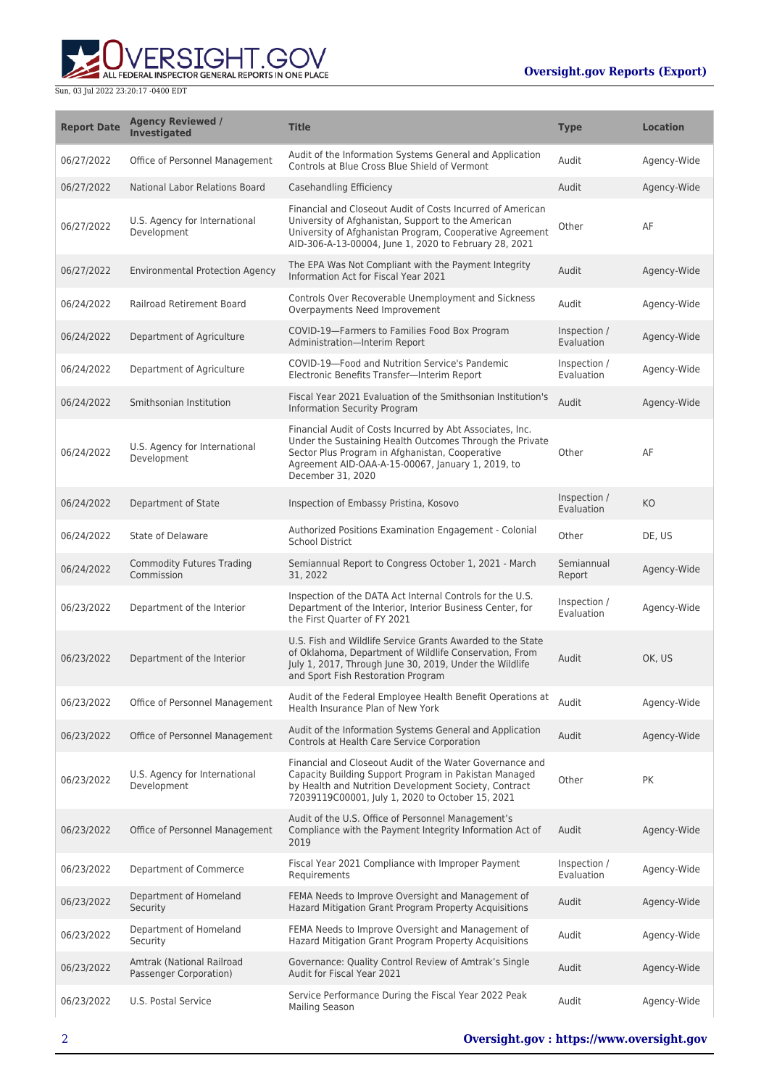ALL FEDERAL INSPECTOR GENERAL REPORTS IN ONE PLACE

| <b>Report Date</b> | <b>Agency Reviewed /</b><br><b>Investigated</b>     | <b>Title</b>                                                                                                                                                                                                                                       | <b>Type</b>                | <b>Location</b> |
|--------------------|-----------------------------------------------------|----------------------------------------------------------------------------------------------------------------------------------------------------------------------------------------------------------------------------------------------------|----------------------------|-----------------|
| 06/27/2022         | Office of Personnel Management                      | Audit of the Information Systems General and Application<br>Controls at Blue Cross Blue Shield of Vermont                                                                                                                                          | Audit                      | Agency-Wide     |
| 06/27/2022         | National Labor Relations Board                      | Casehandling Efficiency                                                                                                                                                                                                                            | Audit                      | Agency-Wide     |
| 06/27/2022         | U.S. Agency for International<br>Development        | Financial and Closeout Audit of Costs Incurred of American<br>University of Afghanistan, Support to the American<br>University of Afghanistan Program, Cooperative Agreement<br>AID-306-A-13-00004, June 1, 2020 to February 28, 2021              | Other                      | AF              |
| 06/27/2022         | <b>Environmental Protection Agency</b>              | The EPA Was Not Compliant with the Payment Integrity<br>Information Act for Fiscal Year 2021                                                                                                                                                       | Audit                      | Agency-Wide     |
| 06/24/2022         | <b>Railroad Retirement Board</b>                    | Controls Over Recoverable Unemployment and Sickness<br>Overpayments Need Improvement                                                                                                                                                               | Audit                      | Agency-Wide     |
| 06/24/2022         | Department of Agriculture                           | COVID-19-Farmers to Families Food Box Program<br>Administration-Interim Report                                                                                                                                                                     | Inspection /<br>Evaluation | Agency-Wide     |
| 06/24/2022         | Department of Agriculture                           | COVID-19-Food and Nutrition Service's Pandemic<br>Electronic Benefits Transfer-Interim Report                                                                                                                                                      | Inspection /<br>Evaluation | Agency-Wide     |
| 06/24/2022         | Smithsonian Institution                             | Fiscal Year 2021 Evaluation of the Smithsonian Institution's<br>Information Security Program                                                                                                                                                       | Audit                      | Agency-Wide     |
| 06/24/2022         | U.S. Agency for International<br>Development        | Financial Audit of Costs Incurred by Abt Associates, Inc.<br>Under the Sustaining Health Outcomes Through the Private<br>Sector Plus Program in Afghanistan, Cooperative<br>Agreement AID-OAA-A-15-00067, January 1, 2019, to<br>December 31, 2020 | Other                      | AF              |
| 06/24/2022         | Department of State                                 | Inspection of Embassy Pristina, Kosovo                                                                                                                                                                                                             | Inspection /<br>Evaluation | KO              |
| 06/24/2022         | State of Delaware                                   | Authorized Positions Examination Engagement - Colonial<br><b>School District</b>                                                                                                                                                                   | Other                      | DE, US          |
| 06/24/2022         | <b>Commodity Futures Trading</b><br>Commission      | Semiannual Report to Congress October 1, 2021 - March<br>31, 2022                                                                                                                                                                                  | Semiannual<br>Report       | Agency-Wide     |
| 06/23/2022         | Department of the Interior                          | Inspection of the DATA Act Internal Controls for the U.S.<br>Department of the Interior, Interior Business Center, for<br>the First Quarter of FY 2021                                                                                             | Inspection /<br>Evaluation | Agency-Wide     |
| 06/23/2022         | Department of the Interior                          | U.S. Fish and Wildlife Service Grants Awarded to the State<br>of Oklahoma, Department of Wildlife Conservation, From<br>July 1, 2017, Through June 30, 2019, Under the Wildlife<br>and Sport Fish Restoration Program                              | Audit                      | OK, US          |
| 06/23/2022         | Office of Personnel Management                      | Audit of the Federal Employee Health Benefit Operations at<br>Health Insurance Plan of New York                                                                                                                                                    | Audit                      | Agency-Wide     |
| 06/23/2022         | Office of Personnel Management                      | Audit of the Information Systems General and Application<br>Controls at Health Care Service Corporation                                                                                                                                            | Audit                      | Agency-Wide     |
| 06/23/2022         | U.S. Agency for International<br>Development        | Financial and Closeout Audit of the Water Governance and<br>Capacity Building Support Program in Pakistan Managed<br>by Health and Nutrition Development Society, Contract<br>72039119C00001, July 1, 2020 to October 15, 2021                     | Other                      | PK              |
| 06/23/2022         | Office of Personnel Management                      | Audit of the U.S. Office of Personnel Management's<br>Compliance with the Payment Integrity Information Act of<br>2019                                                                                                                             | Audit                      | Agency-Wide     |
| 06/23/2022         | Department of Commerce                              | Fiscal Year 2021 Compliance with Improper Payment<br>Requirements                                                                                                                                                                                  | Inspection /<br>Evaluation | Agency-Wide     |
| 06/23/2022         | Department of Homeland<br>Security                  | FEMA Needs to Improve Oversight and Management of<br>Hazard Mitigation Grant Program Property Acquisitions                                                                                                                                         | Audit                      | Agency-Wide     |
| 06/23/2022         | Department of Homeland<br>Security                  | FEMA Needs to Improve Oversight and Management of<br>Hazard Mitigation Grant Program Property Acquisitions                                                                                                                                         | Audit                      | Agency-Wide     |
| 06/23/2022         | Amtrak (National Railroad<br>Passenger Corporation) | Governance: Quality Control Review of Amtrak's Single<br>Audit for Fiscal Year 2021                                                                                                                                                                | Audit                      | Agency-Wide     |
| 06/23/2022         | U.S. Postal Service                                 | Service Performance During the Fiscal Year 2022 Peak<br><b>Mailing Season</b>                                                                                                                                                                      | Audit                      | Agency-Wide     |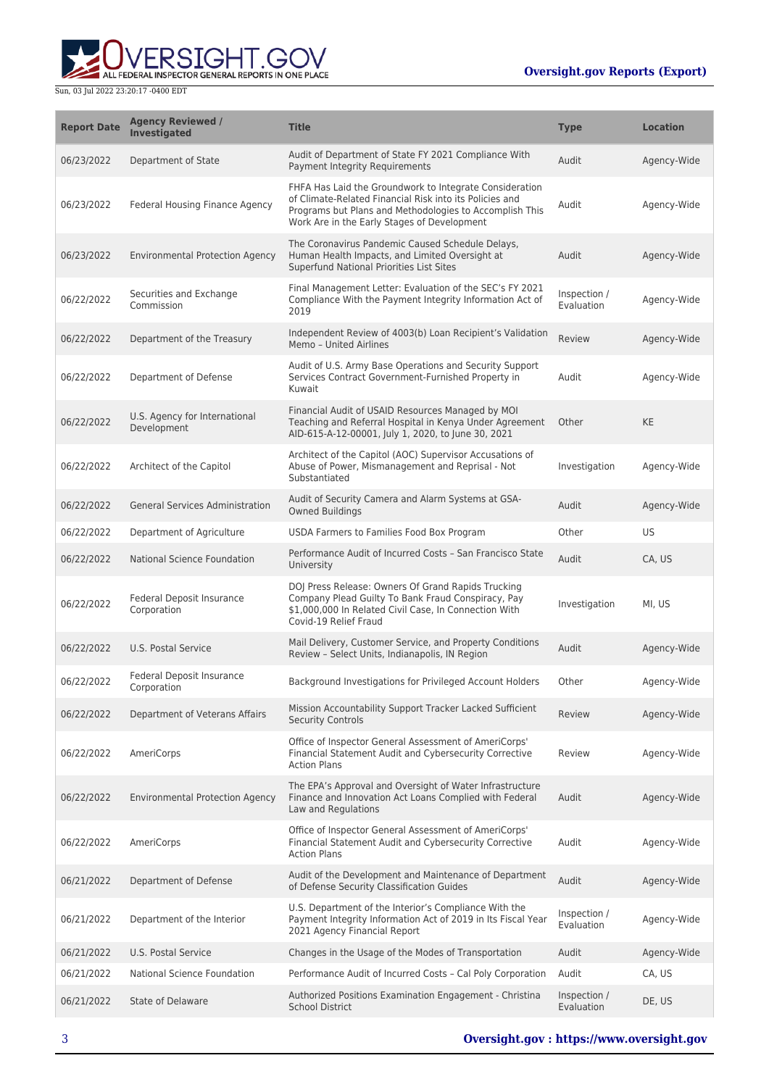

| <b>Report Date</b> | <b>Agency Reviewed /</b><br>Investigated        | <b>Title</b>                                                                                                                                                                                                                 | <b>Type</b>                | <b>Location</b> |
|--------------------|-------------------------------------------------|------------------------------------------------------------------------------------------------------------------------------------------------------------------------------------------------------------------------------|----------------------------|-----------------|
| 06/23/2022         | Department of State                             | Audit of Department of State FY 2021 Compliance With<br>Payment Integrity Requirements                                                                                                                                       | Audit                      | Agency-Wide     |
| 06/23/2022         | Federal Housing Finance Agency                  | FHFA Has Laid the Groundwork to Integrate Consideration<br>of Climate-Related Financial Risk into its Policies and<br>Programs but Plans and Methodologies to Accomplish This<br>Work Are in the Early Stages of Development | Audit                      | Agency-Wide     |
| 06/23/2022         | <b>Environmental Protection Agency</b>          | The Coronavirus Pandemic Caused Schedule Delays,<br>Human Health Impacts, and Limited Oversight at<br>Superfund National Priorities List Sites                                                                               | Audit                      | Agency-Wide     |
| 06/22/2022         | Securities and Exchange<br>Commission           | Final Management Letter: Evaluation of the SEC's FY 2021<br>Compliance With the Payment Integrity Information Act of<br>2019                                                                                                 | Inspection /<br>Evaluation | Agency-Wide     |
| 06/22/2022         | Department of the Treasury                      | Independent Review of 4003(b) Loan Recipient's Validation<br>Memo - United Airlines                                                                                                                                          | Review                     | Agency-Wide     |
| 06/22/2022         | Department of Defense                           | Audit of U.S. Army Base Operations and Security Support<br>Services Contract Government-Furnished Property in<br>Kuwait                                                                                                      | Audit                      | Agency-Wide     |
| 06/22/2022         | U.S. Agency for International<br>Development    | Financial Audit of USAID Resources Managed by MOI<br>Teaching and Referral Hospital in Kenya Under Agreement<br>AID-615-A-12-00001, July 1, 2020, to June 30, 2021                                                           | Other                      | <b>KE</b>       |
| 06/22/2022         | Architect of the Capitol                        | Architect of the Capitol (AOC) Supervisor Accusations of<br>Abuse of Power, Mismanagement and Reprisal - Not<br>Substantiated                                                                                                | Investigation              | Agency-Wide     |
| 06/22/2022         | <b>General Services Administration</b>          | Audit of Security Camera and Alarm Systems at GSA-<br><b>Owned Buildings</b>                                                                                                                                                 | Audit                      | Agency-Wide     |
| 06/22/2022         | Department of Agriculture                       | USDA Farmers to Families Food Box Program                                                                                                                                                                                    | Other                      | US              |
| 06/22/2022         | National Science Foundation                     | Performance Audit of Incurred Costs - San Francisco State<br>University                                                                                                                                                      | Audit                      | CA, US          |
| 06/22/2022         | Federal Deposit Insurance<br>Corporation        | DOJ Press Release: Owners Of Grand Rapids Trucking<br>Company Plead Guilty To Bank Fraud Conspiracy, Pay<br>\$1,000,000 In Related Civil Case, In Connection With<br>Covid-19 Relief Fraud                                   | Investigation              | MI, US          |
| 06/22/2022         | U.S. Postal Service                             | Mail Delivery, Customer Service, and Property Conditions<br>Review - Select Units, Indianapolis, IN Region                                                                                                                   | Audit                      | Agency-Wide     |
| 06/22/2022         | <b>Federal Deposit Insurance</b><br>Corporation | Background Investigations for Privileged Account Holders                                                                                                                                                                     | Other                      | Agency-Wide     |
| 06/22/2022         | Department of Veterans Affairs                  | Mission Accountability Support Tracker Lacked Sufficient<br><b>Security Controls</b>                                                                                                                                         | Review                     | Agency-Wide     |
| 06/22/2022         | <b>AmeriCorps</b>                               | Office of Inspector General Assessment of AmeriCorps'<br>Financial Statement Audit and Cybersecurity Corrective<br><b>Action Plans</b>                                                                                       | Review                     | Agency-Wide     |
| 06/22/2022         | <b>Environmental Protection Agency</b>          | The EPA's Approval and Oversight of Water Infrastructure<br>Finance and Innovation Act Loans Complied with Federal<br>Law and Regulations                                                                                    | Audit                      | Agency-Wide     |
| 06/22/2022         | AmeriCorps                                      | Office of Inspector General Assessment of AmeriCorps'<br>Financial Statement Audit and Cybersecurity Corrective<br><b>Action Plans</b>                                                                                       | Audit                      | Agency-Wide     |
| 06/21/2022         | Department of Defense                           | Audit of the Development and Maintenance of Department<br>of Defense Security Classification Guides                                                                                                                          | Audit                      | Agency-Wide     |
| 06/21/2022         | Department of the Interior                      | U.S. Department of the Interior's Compliance With the<br>Payment Integrity Information Act of 2019 in Its Fiscal Year<br>2021 Agency Financial Report                                                                        | Inspection /<br>Evaluation | Agency-Wide     |
| 06/21/2022         | U.S. Postal Service                             | Changes in the Usage of the Modes of Transportation                                                                                                                                                                          | Audit                      | Agency-Wide     |
| 06/21/2022         | National Science Foundation                     | Performance Audit of Incurred Costs - Cal Poly Corporation                                                                                                                                                                   | Audit                      | CA, US          |
| 06/21/2022         | <b>State of Delaware</b>                        | Authorized Positions Examination Engagement - Christina<br><b>School District</b>                                                                                                                                            | Inspection /<br>Evaluation | DE, US          |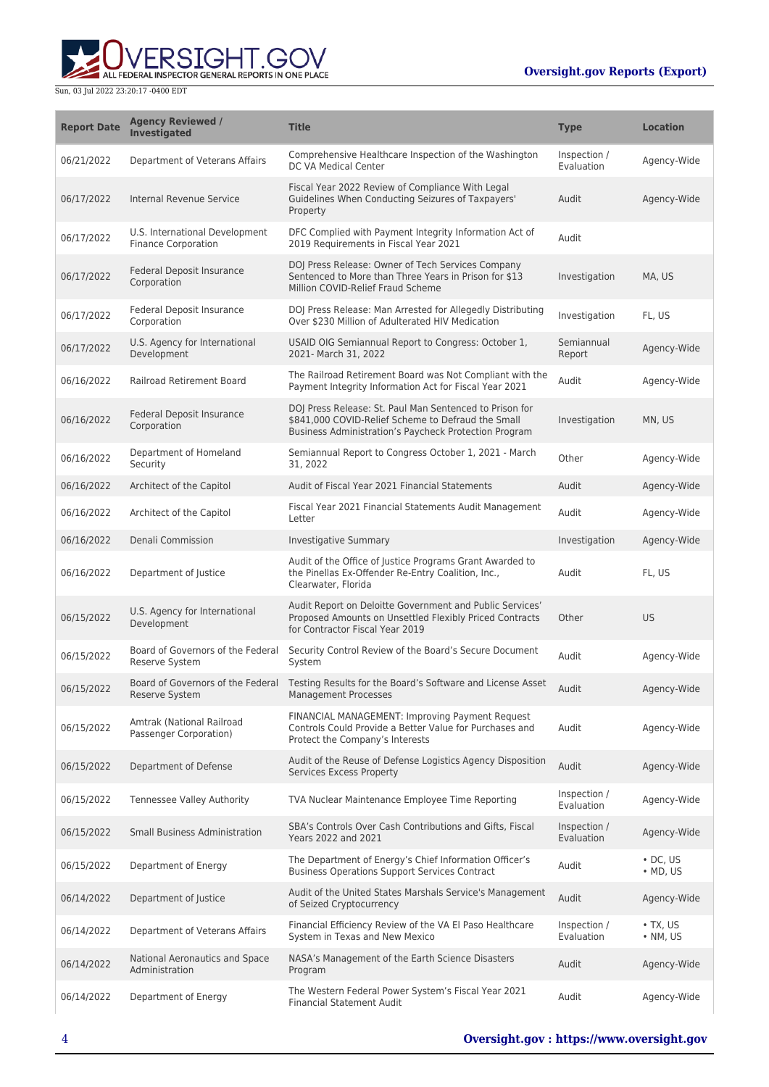**WERSIGHT.GOV** 

| <b>Report Date</b> | <b>Agency Reviewed /</b><br><b>Investigated</b>              | <b>Title</b>                                                                                                                                                           | <b>Type</b>                | <b>Location</b>                    |
|--------------------|--------------------------------------------------------------|------------------------------------------------------------------------------------------------------------------------------------------------------------------------|----------------------------|------------------------------------|
| 06/21/2022         | Department of Veterans Affairs                               | Comprehensive Healthcare Inspection of the Washington<br>DC VA Medical Center                                                                                          | Inspection /<br>Evaluation | Agency-Wide                        |
| 06/17/2022         | Internal Revenue Service                                     | Fiscal Year 2022 Review of Compliance With Legal<br>Guidelines When Conducting Seizures of Taxpayers'<br>Property                                                      | Audit                      | Agency-Wide                        |
| 06/17/2022         | U.S. International Development<br><b>Finance Corporation</b> | DFC Complied with Payment Integrity Information Act of<br>2019 Requirements in Fiscal Year 2021                                                                        | Audit                      |                                    |
| 06/17/2022         | Federal Deposit Insurance<br>Corporation                     | DOJ Press Release: Owner of Tech Services Company<br>Sentenced to More than Three Years in Prison for \$13<br>Million COVID-Relief Fraud Scheme                        | Investigation              | MA, US                             |
| 06/17/2022         | Federal Deposit Insurance<br>Corporation                     | DOJ Press Release: Man Arrested for Allegedly Distributing<br>Over \$230 Million of Adulterated HIV Medication                                                         | Investigation              | FL, US                             |
| 06/17/2022         | U.S. Agency for International<br>Development                 | USAID OIG Semiannual Report to Congress: October 1,<br>2021- March 31, 2022                                                                                            | Semiannual<br>Report       | Agency-Wide                        |
| 06/16/2022         | <b>Railroad Retirement Board</b>                             | The Railroad Retirement Board was Not Compliant with the<br>Payment Integrity Information Act for Fiscal Year 2021                                                     | Audit                      | Agency-Wide                        |
| 06/16/2022         | Federal Deposit Insurance<br>Corporation                     | DOJ Press Release: St. Paul Man Sentenced to Prison for<br>\$841,000 COVID-Relief Scheme to Defraud the Small<br>Business Administration's Paycheck Protection Program | Investigation              | MN, US                             |
| 06/16/2022         | Department of Homeland<br>Security                           | Semiannual Report to Congress October 1, 2021 - March<br>31, 2022                                                                                                      | Other                      | Agency-Wide                        |
| 06/16/2022         | Architect of the Capitol                                     | Audit of Fiscal Year 2021 Financial Statements                                                                                                                         | Audit                      | Agency-Wide                        |
| 06/16/2022         | Architect of the Capitol                                     | Fiscal Year 2021 Financial Statements Audit Management<br>Letter                                                                                                       | Audit                      | Agency-Wide                        |
| 06/16/2022         | Denali Commission                                            | Investigative Summary                                                                                                                                                  | Investigation              | Agency-Wide                        |
| 06/16/2022         | Department of Justice                                        | Audit of the Office of Justice Programs Grant Awarded to<br>the Pinellas Ex-Offender Re-Entry Coalition, Inc.,<br>Clearwater, Florida                                  | Audit                      | FL, US                             |
| 06/15/2022         | U.S. Agency for International<br>Development                 | Audit Report on Deloitte Government and Public Services'<br>Proposed Amounts on Unsettled Flexibly Priced Contracts<br>for Contractor Fiscal Year 2019                 | Other                      | <b>US</b>                          |
| 06/15/2022         | Board of Governors of the Federal<br>Reserve System          | Security Control Review of the Board's Secure Document<br>System                                                                                                       | Audit                      | Agency-Wide                        |
| 06/15/2022         | Board of Governors of the Federal<br>Reserve System          | Testing Results for the Board's Software and License Asset<br><b>Management Processes</b>                                                                              | Audit                      | Agency-Wide                        |
| 06/15/2022         | Amtrak (National Railroad<br>Passenger Corporation)          | FINANCIAL MANAGEMENT: Improving Payment Request<br>Controls Could Provide a Better Value for Purchases and<br>Protect the Company's Interests                          | Audit                      | Agency-Wide                        |
| 06/15/2022         | Department of Defense                                        | Audit of the Reuse of Defense Logistics Agency Disposition<br>Services Excess Property                                                                                 | Audit                      | Agency-Wide                        |
| 06/15/2022         | Tennessee Valley Authority                                   | TVA Nuclear Maintenance Employee Time Reporting                                                                                                                        | Inspection /<br>Evaluation | Agency-Wide                        |
| 06/15/2022         | Small Business Administration                                | SBA's Controls Over Cash Contributions and Gifts, Fiscal<br>Years 2022 and 2021                                                                                        | Inspection /<br>Evaluation | Agency-Wide                        |
| 06/15/2022         | Department of Energy                                         | The Department of Energy's Chief Information Officer's<br><b>Business Operations Support Services Contract</b>                                                         | Audit                      | $\cdot$ DC, US<br>$\bullet$ MD, US |
| 06/14/2022         | Department of Justice                                        | Audit of the United States Marshals Service's Management<br>of Seized Cryptocurrency                                                                                   | Audit                      | Agency-Wide                        |
| 06/14/2022         | Department of Veterans Affairs                               | Financial Efficiency Review of the VA El Paso Healthcare<br>System in Texas and New Mexico                                                                             | Inspection /<br>Evaluation | $\cdot$ TX, US<br>$\bullet$ NM, US |
| 06/14/2022         | National Aeronautics and Space<br>Administration             | NASA's Management of the Earth Science Disasters<br>Program                                                                                                            | Audit                      | Agency-Wide                        |
| 06/14/2022         | Department of Energy                                         | The Western Federal Power System's Fiscal Year 2021<br><b>Financial Statement Audit</b>                                                                                | Audit                      | Agency-Wide                        |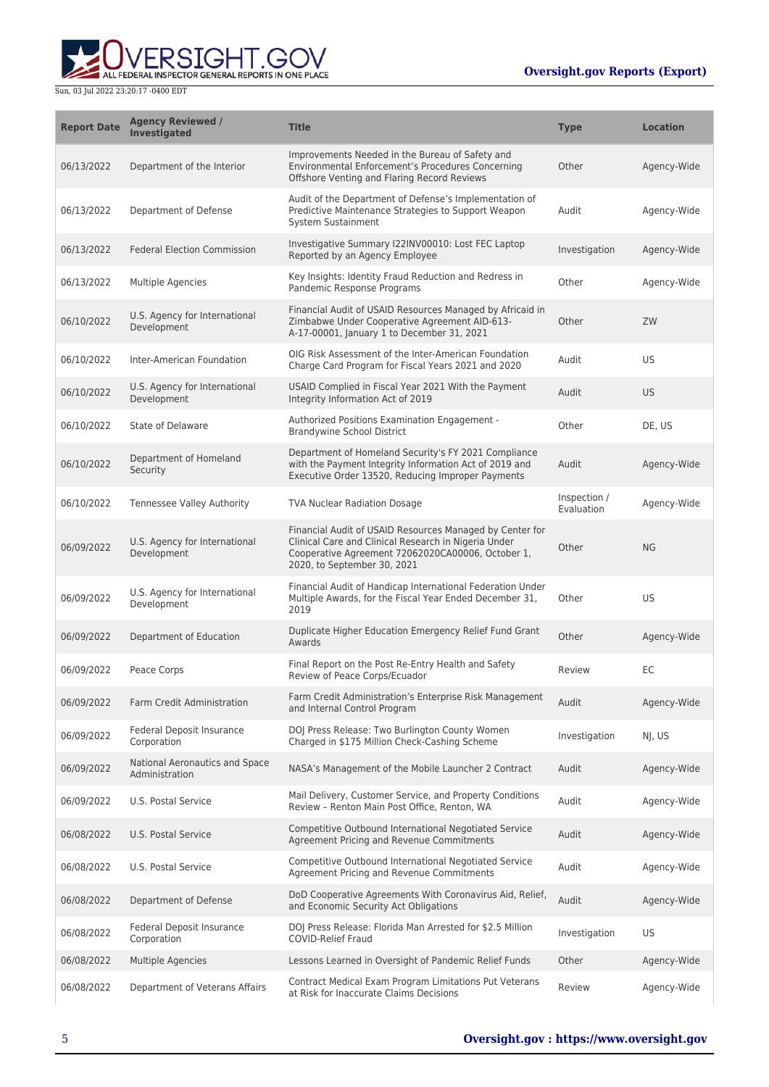

| <b>Report Date</b> | <b>Agency Reviewed /</b><br><b>Investigated</b>  | <b>Title</b>                                                                                                                                                                                         | <b>Type</b>                | <b>Location</b> |
|--------------------|--------------------------------------------------|------------------------------------------------------------------------------------------------------------------------------------------------------------------------------------------------------|----------------------------|-----------------|
| 06/13/2022         | Department of the Interior                       | Improvements Needed in the Bureau of Safety and<br>Environmental Enforcement's Procedures Concerning<br>Offshore Venting and Flaring Record Reviews                                                  | Other                      | Agency-Wide     |
| 06/13/2022         | Department of Defense                            | Audit of the Department of Defense's Implementation of<br>Predictive Maintenance Strategies to Support Weapon<br>System Sustainment                                                                  | Audit                      | Agency-Wide     |
| 06/13/2022         | <b>Federal Election Commission</b>               | Investigative Summary I22INV00010: Lost FEC Laptop<br>Reported by an Agency Employee                                                                                                                 | Investigation              | Agency-Wide     |
| 06/13/2022         | Multiple Agencies                                | Key Insights: Identity Fraud Reduction and Redress in<br>Pandemic Response Programs                                                                                                                  | Other                      | Agency-Wide     |
| 06/10/2022         | U.S. Agency for International<br>Development     | Financial Audit of USAID Resources Managed by Africaid in<br>Zimbabwe Under Cooperative Agreement AID-613-<br>A-17-00001, January 1 to December 31, 2021                                             | Other                      | ZW              |
| 06/10/2022         | Inter-American Foundation                        | OIG Risk Assessment of the Inter-American Foundation<br>Charge Card Program for Fiscal Years 2021 and 2020                                                                                           | Audit                      | <b>US</b>       |
| 06/10/2022         | U.S. Agency for International<br>Development     | USAID Complied in Fiscal Year 2021 With the Payment<br>Integrity Information Act of 2019                                                                                                             | Audit                      | US.             |
| 06/10/2022         | State of Delaware                                | Authorized Positions Examination Engagement -<br><b>Brandywine School District</b>                                                                                                                   | Other                      | DE, US          |
| 06/10/2022         | Department of Homeland<br>Security               | Department of Homeland Security's FY 2021 Compliance<br>with the Payment Integrity Information Act of 2019 and<br>Executive Order 13520, Reducing Improper Payments                                  | Audit                      | Agency-Wide     |
| 06/10/2022         | Tennessee Valley Authority                       | <b>TVA Nuclear Radiation Dosage</b>                                                                                                                                                                  | Inspection /<br>Evaluation | Agency-Wide     |
| 06/09/2022         | U.S. Agency for International<br>Development     | Financial Audit of USAID Resources Managed by Center for<br>Clinical Care and Clinical Research in Nigeria Under<br>Cooperative Agreement 72062020CA00006, October 1,<br>2020, to September 30, 2021 | Other                      | <b>NG</b>       |
| 06/09/2022         | U.S. Agency for International<br>Development     | Financial Audit of Handicap International Federation Under<br>Multiple Awards, for the Fiscal Year Ended December 31,<br>2019                                                                        | Other                      | US              |
| 06/09/2022         | Department of Education                          | Duplicate Higher Education Emergency Relief Fund Grant<br>Awards                                                                                                                                     | Other                      | Agency-Wide     |
| 06/09/2022         | Peace Corps                                      | Final Report on the Post Re-Entry Health and Safety<br>Review of Peace Corps/Ecuador                                                                                                                 | Review                     | EC              |
| 06/09/2022         | Farm Credit Administration                       | Farm Credit Administration's Enterprise Risk Management<br>and Internal Control Program                                                                                                              | Audit                      | Agency-Wide     |
| 06/09/2022         | Federal Deposit Insurance<br>Corporation         | DOJ Press Release: Two Burlington County Women<br>Charged in \$175 Million Check-Cashing Scheme                                                                                                      | Investigation              | NI, US          |
| 06/09/2022         | National Aeronautics and Space<br>Administration | NASA's Management of the Mobile Launcher 2 Contract                                                                                                                                                  | Audit                      | Agency-Wide     |
| 06/09/2022         | U.S. Postal Service                              | Mail Delivery, Customer Service, and Property Conditions<br>Review - Renton Main Post Office, Renton, WA                                                                                             | Audit                      | Agency-Wide     |
| 06/08/2022         | U.S. Postal Service                              | Competitive Outbound International Negotiated Service<br>Agreement Pricing and Revenue Commitments                                                                                                   | Audit                      | Agency-Wide     |
| 06/08/2022         | U.S. Postal Service                              | Competitive Outbound International Negotiated Service<br>Agreement Pricing and Revenue Commitments                                                                                                   | Audit                      | Agency-Wide     |
| 06/08/2022         | Department of Defense                            | DoD Cooperative Agreements With Coronavirus Aid, Relief,<br>and Economic Security Act Obligations                                                                                                    | Audit                      | Agency-Wide     |
| 06/08/2022         | <b>Federal Deposit Insurance</b><br>Corporation  | DOJ Press Release: Florida Man Arrested for \$2.5 Million<br><b>COVID-Relief Fraud</b>                                                                                                               | Investigation              | US              |
| 06/08/2022         | <b>Multiple Agencies</b>                         | Lessons Learned in Oversight of Pandemic Relief Funds                                                                                                                                                | Other                      | Agency-Wide     |
| 06/08/2022         | Department of Veterans Affairs                   | Contract Medical Exam Program Limitations Put Veterans<br>at Risk for Inaccurate Claims Decisions                                                                                                    | Review                     | Agency-Wide     |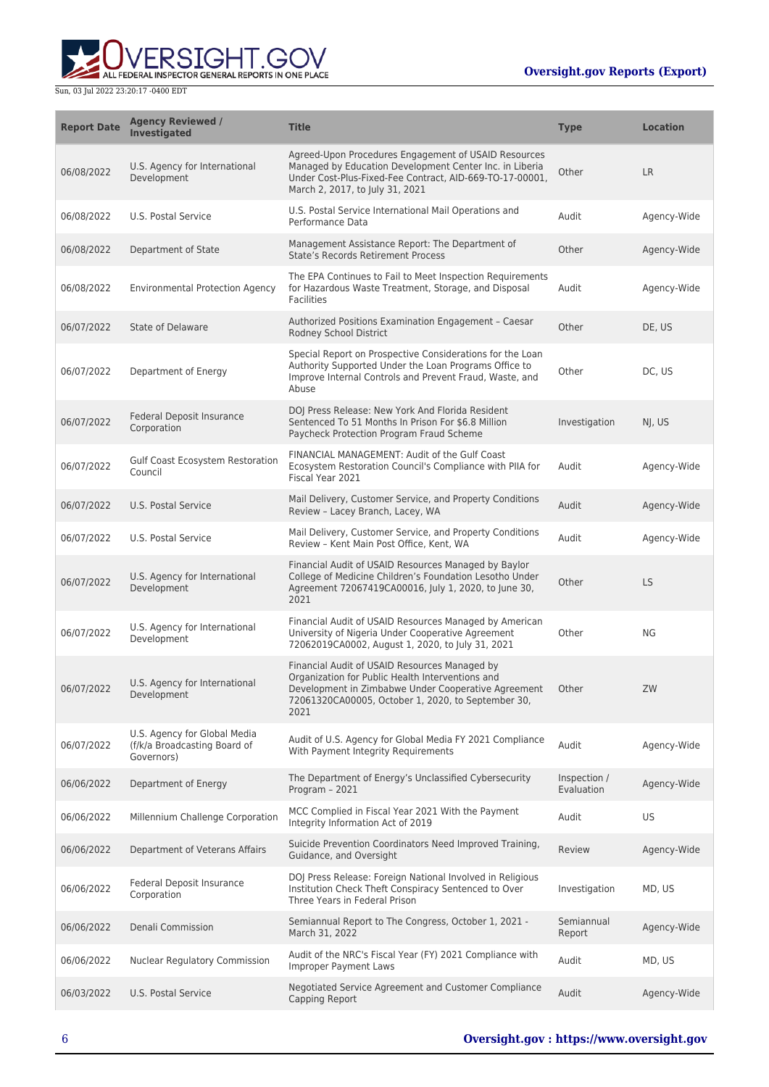

| <b>Report Date</b> | <b>Agency Reviewed /</b><br><b>Investigated</b>                            | <b>Title</b>                                                                                                                                                                                                           | <b>Type</b>                | <b>Location</b> |
|--------------------|----------------------------------------------------------------------------|------------------------------------------------------------------------------------------------------------------------------------------------------------------------------------------------------------------------|----------------------------|-----------------|
| 06/08/2022         | U.S. Agency for International<br>Development                               | Agreed-Upon Procedures Engagement of USAID Resources<br>Managed by Education Development Center Inc. in Liberia<br>Under Cost-Plus-Fixed-Fee Contract, AID-669-TO-17-00001,<br>March 2, 2017, to July 31, 2021         | Other                      | <b>LR</b>       |
| 06/08/2022         | U.S. Postal Service                                                        | U.S. Postal Service International Mail Operations and<br>Performance Data                                                                                                                                              | Audit                      | Agency-Wide     |
| 06/08/2022         | Department of State                                                        | Management Assistance Report: The Department of<br>State's Records Retirement Process                                                                                                                                  | Other                      | Agency-Wide     |
| 06/08/2022         | <b>Environmental Protection Agency</b>                                     | The EPA Continues to Fail to Meet Inspection Requirements<br>for Hazardous Waste Treatment, Storage, and Disposal<br><b>Facilities</b>                                                                                 | Audit                      | Agency-Wide     |
| 06/07/2022         | <b>State of Delaware</b>                                                   | Authorized Positions Examination Engagement - Caesar<br>Rodney School District                                                                                                                                         | Other                      | DE, US          |
| 06/07/2022         | Department of Energy                                                       | Special Report on Prospective Considerations for the Loan<br>Authority Supported Under the Loan Programs Office to<br>Improve Internal Controls and Prevent Fraud, Waste, and<br>Abuse                                 | Other                      | DC, US          |
| 06/07/2022         | Federal Deposit Insurance<br>Corporation                                   | DOJ Press Release: New York And Florida Resident<br>Sentenced To 51 Months In Prison For \$6.8 Million<br>Paycheck Protection Program Fraud Scheme                                                                     | Investigation              | NJ, US          |
| 06/07/2022         | Gulf Coast Ecosystem Restoration<br>Council                                | FINANCIAL MANAGEMENT: Audit of the Gulf Coast<br>Ecosystem Restoration Council's Compliance with PIIA for<br>Fiscal Year 2021                                                                                          | Audit                      | Agency-Wide     |
| 06/07/2022         | U.S. Postal Service                                                        | Mail Delivery, Customer Service, and Property Conditions<br>Review - Lacey Branch, Lacey, WA                                                                                                                           | Audit                      | Agency-Wide     |
| 06/07/2022         | U.S. Postal Service                                                        | Mail Delivery, Customer Service, and Property Conditions<br>Review - Kent Main Post Office, Kent, WA                                                                                                                   | Audit                      | Agency-Wide     |
| 06/07/2022         | U.S. Agency for International<br>Development                               | Financial Audit of USAID Resources Managed by Baylor<br>College of Medicine Children's Foundation Lesotho Under<br>Agreement 72067419CA00016, July 1, 2020, to June 30,<br>2021                                        | Other                      | <b>LS</b>       |
| 06/07/2022         | U.S. Agency for International<br>Development                               | Financial Audit of USAID Resources Managed by American<br>University of Nigeria Under Cooperative Agreement<br>72062019CA0002, August 1, 2020, to July 31, 2021                                                        | Other                      | NG              |
| 06/07/2022         | U.S. Agency for International<br>Development                               | Financial Audit of USAID Resources Managed by<br>Organization for Public Health Interventions and<br>Development in Zimbabwe Under Cooperative Agreement<br>72061320CA00005, October 1, 2020, to September 30,<br>2021 | Other                      | ZW              |
| 06/07/2022         | U.S. Agency for Global Media<br>(f/k/a Broadcasting Board of<br>Governors) | Audit of U.S. Agency for Global Media FY 2021 Compliance<br>With Payment Integrity Requirements                                                                                                                        | Audit                      | Agency-Wide     |
| 06/06/2022         | Department of Energy                                                       | The Department of Energy's Unclassified Cybersecurity<br>Program - 2021                                                                                                                                                | Inspection /<br>Evaluation | Agency-Wide     |
| 06/06/2022         | Millennium Challenge Corporation                                           | MCC Complied in Fiscal Year 2021 With the Payment<br>Integrity Information Act of 2019                                                                                                                                 | Audit                      | US              |
| 06/06/2022         | Department of Veterans Affairs                                             | Suicide Prevention Coordinators Need Improved Training,<br>Guidance, and Oversight                                                                                                                                     | Review                     | Agency-Wide     |
| 06/06/2022         | Federal Deposit Insurance<br>Corporation                                   | DOJ Press Release: Foreign National Involved in Religious<br>Institution Check Theft Conspiracy Sentenced to Over<br>Three Years in Federal Prison                                                                     | Investigation              | MD, US          |
| 06/06/2022         | Denali Commission                                                          | Semiannual Report to The Congress, October 1, 2021 -<br>March 31, 2022                                                                                                                                                 | Semiannual<br>Report       | Agency-Wide     |
| 06/06/2022         | Nuclear Regulatory Commission                                              | Audit of the NRC's Fiscal Year (FY) 2021 Compliance with<br><b>Improper Payment Laws</b>                                                                                                                               | Audit                      | MD, US          |
| 06/03/2022         | U.S. Postal Service                                                        | Negotiated Service Agreement and Customer Compliance<br>Capping Report                                                                                                                                                 | Audit                      | Agency-Wide     |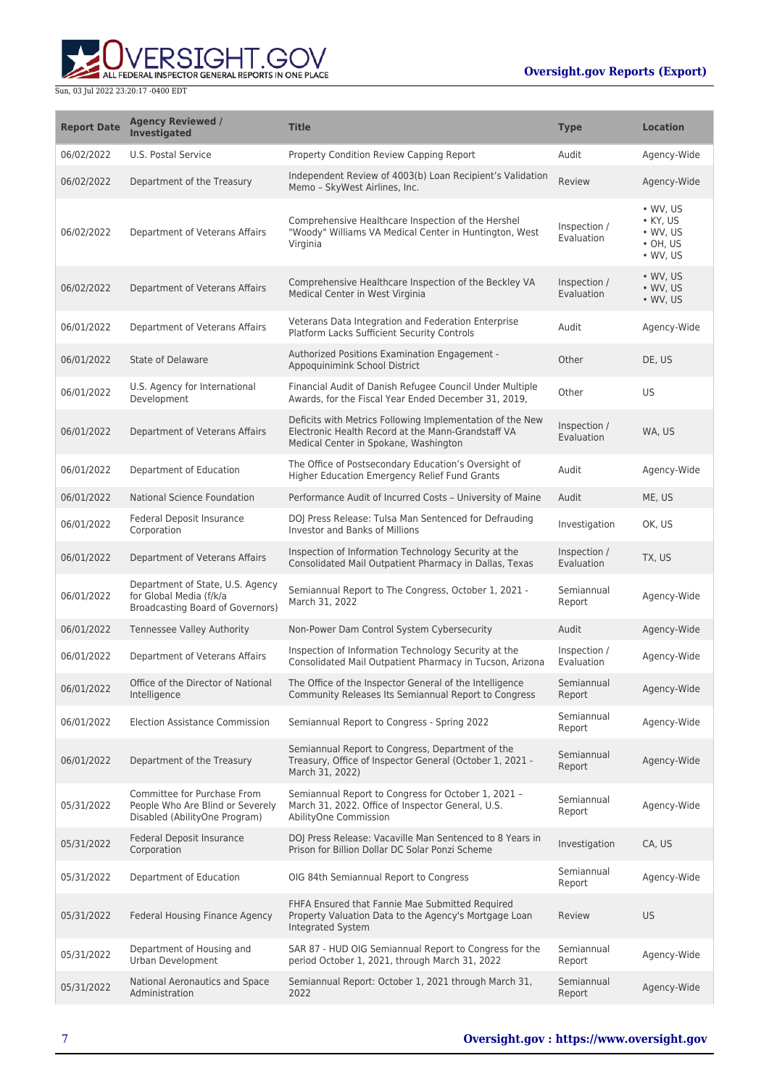**WERSIGHT.GOV** 

| <b>Report Date</b> | <b>Agency Reviewed /</b><br><b>Investigated</b>                                                  | <b>Title</b>                                                                                                                                             | <b>Type</b>                | <b>Location</b>                                                                          |
|--------------------|--------------------------------------------------------------------------------------------------|----------------------------------------------------------------------------------------------------------------------------------------------------------|----------------------------|------------------------------------------------------------------------------------------|
| 06/02/2022         | U.S. Postal Service                                                                              | Property Condition Review Capping Report                                                                                                                 | Audit                      | Agency-Wide                                                                              |
| 06/02/2022         | Department of the Treasury                                                                       | Independent Review of 4003(b) Loan Recipient's Validation<br>Memo - SkyWest Airlines, Inc.                                                               | Review                     | Agency-Wide                                                                              |
| 06/02/2022         | Department of Veterans Affairs                                                                   | Comprehensive Healthcare Inspection of the Hershel<br>"Woody" Williams VA Medical Center in Huntington, West<br>Virginia                                 | Inspection /<br>Evaluation | $\cdot$ WV, US<br>$\bullet$ KY, US<br>$\cdot$ WV, US<br>$\cdot$ OH, US<br>$\cdot$ WV, US |
| 06/02/2022         | Department of Veterans Affairs                                                                   | Comprehensive Healthcare Inspection of the Beckley VA<br>Medical Center in West Virginia                                                                 | Inspection /<br>Evaluation | • WV, US<br>$\bullet$ WV, US<br>$\bullet$ WV, US                                         |
| 06/01/2022         | Department of Veterans Affairs                                                                   | Veterans Data Integration and Federation Enterprise<br>Platform Lacks Sufficient Security Controls                                                       | Audit                      | Agency-Wide                                                                              |
| 06/01/2022         | State of Delaware                                                                                | Authorized Positions Examination Engagement -<br>Appoquinimink School District                                                                           | Other                      | DE, US                                                                                   |
| 06/01/2022         | U.S. Agency for International<br>Development                                                     | Financial Audit of Danish Refugee Council Under Multiple<br>Awards, for the Fiscal Year Ended December 31, 2019,                                         | Other                      | US.                                                                                      |
| 06/01/2022         | Department of Veterans Affairs                                                                   | Deficits with Metrics Following Implementation of the New<br>Electronic Health Record at the Mann-Grandstaff VA<br>Medical Center in Spokane, Washington | Inspection /<br>Evaluation | WA, US                                                                                   |
| 06/01/2022         | Department of Education                                                                          | The Office of Postsecondary Education's Oversight of<br>Higher Education Emergency Relief Fund Grants                                                    | Audit                      | Agency-Wide                                                                              |
| 06/01/2022         | National Science Foundation                                                                      | Performance Audit of Incurred Costs - University of Maine                                                                                                | Audit                      | ME, US                                                                                   |
| 06/01/2022         | Federal Deposit Insurance<br>Corporation                                                         | DOJ Press Release: Tulsa Man Sentenced for Defrauding<br>Investor and Banks of Millions                                                                  | Investigation              | OK, US                                                                                   |
| 06/01/2022         | Department of Veterans Affairs                                                                   | Inspection of Information Technology Security at the<br>Consolidated Mail Outpatient Pharmacy in Dallas, Texas                                           | Inspection /<br>Evaluation | TX, US                                                                                   |
| 06/01/2022         | Department of State, U.S. Agency<br>for Global Media (f/k/a<br>Broadcasting Board of Governors)  | Semiannual Report to The Congress, October 1, 2021 -<br>March 31, 2022                                                                                   | Semiannual<br>Report       | Agency-Wide                                                                              |
| 06/01/2022         | <b>Tennessee Valley Authority</b>                                                                | Non-Power Dam Control System Cybersecurity                                                                                                               | Audit                      | Agency-Wide                                                                              |
| 06/01/2022         | Department of Veterans Affairs                                                                   | Inspection of Information Technology Security at the<br>Consolidated Mail Outpatient Pharmacy in Tucson, Arizona                                         | Inspection /<br>Evaluation | Agency-Wide                                                                              |
| 06/01/2022         | Office of the Director of National<br>Intelligence                                               | The Office of the Inspector General of the Intelligence<br>Community Releases Its Semiannual Report to Congress                                          | Semiannual<br>Report       | Agency-Wide                                                                              |
| 06/01/2022         | <b>Election Assistance Commission</b>                                                            | Semiannual Report to Congress - Spring 2022                                                                                                              | Semiannual<br>Report       | Agency-Wide                                                                              |
| 06/01/2022         | Department of the Treasury                                                                       | Semiannual Report to Congress, Department of the<br>Treasury, Office of Inspector General (October 1, 2021 -<br>March 31, 2022)                          | Semiannual<br>Report       | Agency-Wide                                                                              |
| 05/31/2022         | Committee for Purchase From<br>People Who Are Blind or Severely<br>Disabled (AbilityOne Program) | Semiannual Report to Congress for October 1, 2021 -<br>March 31, 2022. Office of Inspector General, U.S.<br>AbilityOne Commission                        | Semiannual<br>Report       | Agency-Wide                                                                              |
| 05/31/2022         | Federal Deposit Insurance<br>Corporation                                                         | DOJ Press Release: Vacaville Man Sentenced to 8 Years in<br>Prison for Billion Dollar DC Solar Ponzi Scheme                                              | Investigation              | CA, US                                                                                   |
| 05/31/2022         | Department of Education                                                                          | OIG 84th Semiannual Report to Congress                                                                                                                   | Semiannual<br>Report       | Agency-Wide                                                                              |
| 05/31/2022         | Federal Housing Finance Agency                                                                   | FHFA Ensured that Fannie Mae Submitted Required<br>Property Valuation Data to the Agency's Mortgage Loan<br>Integrated System                            | Review                     | US                                                                                       |
| 05/31/2022         | Department of Housing and<br>Urban Development                                                   | SAR 87 - HUD OIG Semiannual Report to Congress for the<br>period October 1, 2021, through March 31, 2022                                                 | Semiannual<br>Report       | Agency-Wide                                                                              |
| 05/31/2022         | National Aeronautics and Space<br>Administration                                                 | Semiannual Report: October 1, 2021 through March 31,<br>2022                                                                                             | Semiannual<br>Report       | Agency-Wide                                                                              |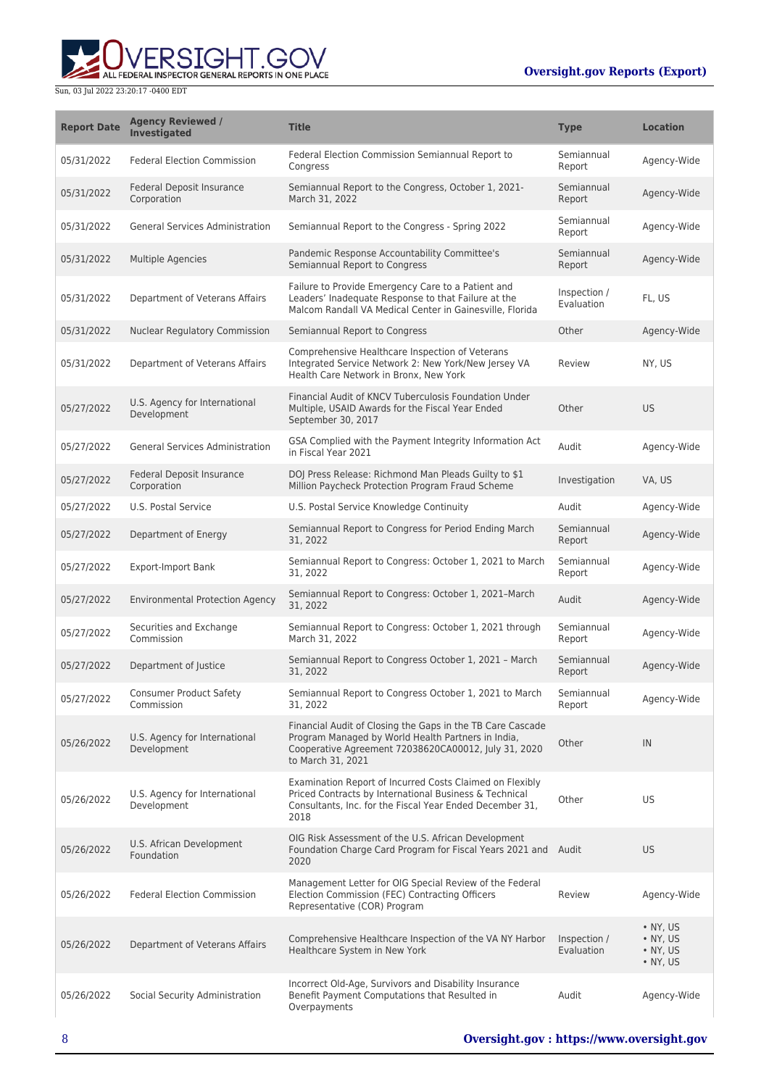

| <b>Report Date</b> | <b>Agency Reviewed /</b><br><b>Investigated</b> | <b>Title</b>                                                                                                                                                                                  | <b>Type</b>                | <b>Location</b>                                                              |
|--------------------|-------------------------------------------------|-----------------------------------------------------------------------------------------------------------------------------------------------------------------------------------------------|----------------------------|------------------------------------------------------------------------------|
| 05/31/2022         | <b>Federal Election Commission</b>              | Federal Election Commission Semiannual Report to<br>Congress                                                                                                                                  | Semiannual<br>Report       | Agency-Wide                                                                  |
| 05/31/2022         | <b>Federal Deposit Insurance</b><br>Corporation | Semiannual Report to the Congress, October 1, 2021-<br>March 31, 2022                                                                                                                         | Semiannual<br>Report       | Agency-Wide                                                                  |
| 05/31/2022         | <b>General Services Administration</b>          | Semiannual Report to the Congress - Spring 2022                                                                                                                                               | Semiannual<br>Report       | Agency-Wide                                                                  |
| 05/31/2022         | Multiple Agencies                               | Pandemic Response Accountability Committee's<br>Semiannual Report to Congress                                                                                                                 | Semiannual<br>Report       | Agency-Wide                                                                  |
| 05/31/2022         | Department of Veterans Affairs                  | Failure to Provide Emergency Care to a Patient and<br>Leaders' Inadequate Response to that Failure at the<br>Malcom Randall VA Medical Center in Gainesville, Florida                         | Inspection /<br>Evaluation | FL, US                                                                       |
| 05/31/2022         | <b>Nuclear Regulatory Commission</b>            | Semiannual Report to Congress                                                                                                                                                                 | Other                      | Agency-Wide                                                                  |
| 05/31/2022         | Department of Veterans Affairs                  | Comprehensive Healthcare Inspection of Veterans<br>Integrated Service Network 2: New York/New Jersey VA<br>Health Care Network in Bronx, New York                                             | Review                     | NY, US                                                                       |
| 05/27/2022         | U.S. Agency for International<br>Development    | Financial Audit of KNCV Tuberculosis Foundation Under<br>Multiple, USAID Awards for the Fiscal Year Ended<br>September 30, 2017                                                               | Other                      | <b>US</b>                                                                    |
| 05/27/2022         | <b>General Services Administration</b>          | GSA Complied with the Payment Integrity Information Act<br>in Fiscal Year 2021                                                                                                                | Audit                      | Agency-Wide                                                                  |
| 05/27/2022         | Federal Deposit Insurance<br>Corporation        | DOJ Press Release: Richmond Man Pleads Guilty to \$1<br>Million Paycheck Protection Program Fraud Scheme                                                                                      | Investigation              | VA, US                                                                       |
| 05/27/2022         | U.S. Postal Service                             | U.S. Postal Service Knowledge Continuity                                                                                                                                                      | Audit                      | Agency-Wide                                                                  |
| 05/27/2022         | Department of Energy                            | Semiannual Report to Congress for Period Ending March<br>31, 2022                                                                                                                             | Semiannual<br>Report       | Agency-Wide                                                                  |
| 05/27/2022         | <b>Export-Import Bank</b>                       | Semiannual Report to Congress: October 1, 2021 to March<br>31, 2022                                                                                                                           | Semiannual<br>Report       | Agency-Wide                                                                  |
| 05/27/2022         | <b>Environmental Protection Agency</b>          | Semiannual Report to Congress: October 1, 2021-March<br>31, 2022                                                                                                                              | Audit                      | Agency-Wide                                                                  |
| 05/27/2022         | Securities and Exchange<br>Commission           | Semiannual Report to Congress: October 1, 2021 through<br>March 31, 2022                                                                                                                      | Semiannual<br>Report       | Agency-Wide                                                                  |
| 05/27/2022         | Department of Justice                           | Semiannual Report to Congress October 1, 2021 - March<br>31, 2022                                                                                                                             | Semiannual<br>Report       | Agency-Wide                                                                  |
| 05/27/2022         | Consumer Product Safety<br>Commission           | Semiannual Report to Congress October 1, 2021 to March<br>31, 2022                                                                                                                            | Semiannual<br>Report       | Agency-Wide                                                                  |
| 05/26/2022         | U.S. Agency for International<br>Development    | Financial Audit of Closing the Gaps in the TB Care Cascade<br>Program Managed by World Health Partners in India,<br>Cooperative Agreement 72038620CA00012, July 31, 2020<br>to March 31, 2021 | Other                      | IN                                                                           |
| 05/26/2022         | U.S. Agency for International<br>Development    | Examination Report of Incurred Costs Claimed on Flexibly<br>Priced Contracts by International Business & Technical<br>Consultants, Inc. for the Fiscal Year Ended December 31,<br>2018        | Other                      | US                                                                           |
| 05/26/2022         | U.S. African Development<br>Foundation          | OIG Risk Assessment of the U.S. African Development<br>Foundation Charge Card Program for Fiscal Years 2021 and Audit<br>2020                                                                 |                            | <b>US</b>                                                                    |
| 05/26/2022         | <b>Federal Election Commission</b>              | Management Letter for OIG Special Review of the Federal<br>Election Commission (FEC) Contracting Officers<br>Representative (COR) Program                                                     | Review                     | Agency-Wide                                                                  |
| 05/26/2022         | Department of Veterans Affairs                  | Comprehensive Healthcare Inspection of the VA NY Harbor<br>Healthcare System in New York                                                                                                      | Inspection /<br>Evaluation | $\bullet$ NY, US<br>$\bullet$ NY, US<br>$\bullet$ NY, US<br>$\bullet$ NY, US |
| 05/26/2022         | Social Security Administration                  | Incorrect Old-Age, Survivors and Disability Insurance<br>Benefit Payment Computations that Resulted in<br>Overpayments                                                                        | Audit                      | Agency-Wide                                                                  |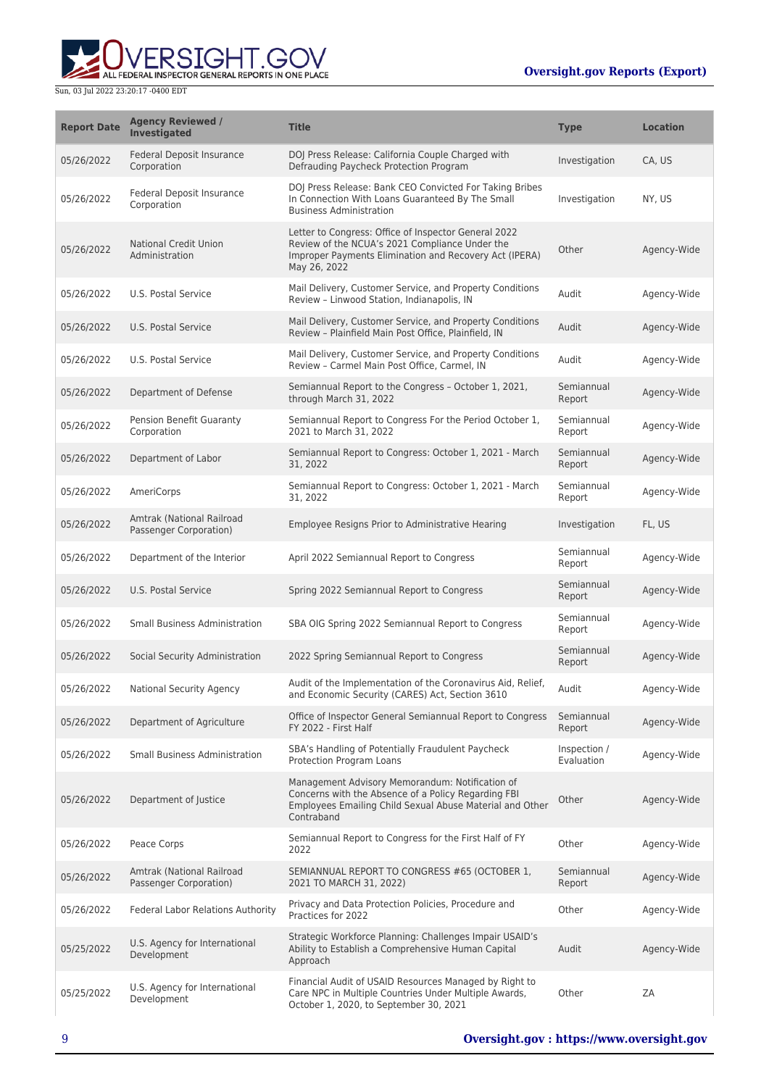

| <b>Report Date</b> | <b>Agency Reviewed /</b><br><b>Investigated</b>     | <b>Title</b>                                                                                                                                                                     | <b>Type</b>                | <b>Location</b> |
|--------------------|-----------------------------------------------------|----------------------------------------------------------------------------------------------------------------------------------------------------------------------------------|----------------------------|-----------------|
| 05/26/2022         | <b>Federal Deposit Insurance</b><br>Corporation     | DOJ Press Release: California Couple Charged with<br>Defrauding Paycheck Protection Program                                                                                      | Investigation              | CA, US          |
| 05/26/2022         | Federal Deposit Insurance<br>Corporation            | DOJ Press Release: Bank CEO Convicted For Taking Bribes<br>In Connection With Loans Guaranteed By The Small<br><b>Business Administration</b>                                    | Investigation              | NY, US          |
| 05/26/2022         | <b>National Credit Union</b><br>Administration      | Letter to Congress: Office of Inspector General 2022<br>Review of the NCUA's 2021 Compliance Under the<br>Improper Payments Elimination and Recovery Act (IPERA)<br>May 26, 2022 | Other                      | Agency-Wide     |
| 05/26/2022         | U.S. Postal Service                                 | Mail Delivery, Customer Service, and Property Conditions<br>Review - Linwood Station, Indianapolis, IN                                                                           | Audit                      | Agency-Wide     |
| 05/26/2022         | U.S. Postal Service                                 | Mail Delivery, Customer Service, and Property Conditions<br>Review - Plainfield Main Post Office, Plainfield, IN                                                                 | Audit                      | Agency-Wide     |
| 05/26/2022         | U.S. Postal Service                                 | Mail Delivery, Customer Service, and Property Conditions<br>Review - Carmel Main Post Office, Carmel, IN                                                                         | Audit                      | Agency-Wide     |
| 05/26/2022         | Department of Defense                               | Semiannual Report to the Congress - October 1, 2021,<br>through March 31, 2022                                                                                                   | Semiannual<br>Report       | Agency-Wide     |
| 05/26/2022         | Pension Benefit Guaranty<br>Corporation             | Semiannual Report to Congress For the Period October 1,<br>2021 to March 31, 2022                                                                                                | Semiannual<br>Report       | Agency-Wide     |
| 05/26/2022         | Department of Labor                                 | Semiannual Report to Congress: October 1, 2021 - March<br>31, 2022                                                                                                               | Semiannual<br>Report       | Agency-Wide     |
| 05/26/2022         | AmeriCorps                                          | Semiannual Report to Congress: October 1, 2021 - March<br>31, 2022                                                                                                               | Semiannual<br>Report       | Agency-Wide     |
| 05/26/2022         | Amtrak (National Railroad<br>Passenger Corporation) | Employee Resigns Prior to Administrative Hearing                                                                                                                                 | Investigation              | FL, US          |
| 05/26/2022         | Department of the Interior                          | April 2022 Semiannual Report to Congress                                                                                                                                         | Semiannual<br>Report       | Agency-Wide     |
| 05/26/2022         | U.S. Postal Service                                 | Spring 2022 Semiannual Report to Congress                                                                                                                                        | Semiannual<br>Report       | Agency-Wide     |
| 05/26/2022         | <b>Small Business Administration</b>                | SBA OIG Spring 2022 Semiannual Report to Congress                                                                                                                                | Semiannual<br>Report       | Agency-Wide     |
| 05/26/2022         | Social Security Administration                      | 2022 Spring Semiannual Report to Congress                                                                                                                                        | Semiannual<br>Report       | Agency-Wide     |
| 05/26/2022         | National Security Agency                            | Audit of the Implementation of the Coronavirus Aid, Relief,<br>and Economic Security (CARES) Act, Section 3610                                                                   | Audit                      | Agency-Wide     |
| 05/26/2022         | Department of Agriculture                           | Office of Inspector General Semiannual Report to Congress<br>FY 2022 - First Half                                                                                                | Semiannual<br>Report       | Agency-Wide     |
| 05/26/2022         | <b>Small Business Administration</b>                | SBA's Handling of Potentially Fraudulent Paycheck<br>Protection Program Loans                                                                                                    | Inspection /<br>Evaluation | Agency-Wide     |
| 05/26/2022         | Department of Justice                               | Management Advisory Memorandum: Notification of<br>Concerns with the Absence of a Policy Regarding FBI<br>Employees Emailing Child Sexual Abuse Material and Other<br>Contraband | Other                      | Agency-Wide     |
| 05/26/2022         | Peace Corps                                         | Semiannual Report to Congress for the First Half of FY<br>2022                                                                                                                   | Other                      | Agency-Wide     |
| 05/26/2022         | Amtrak (National Railroad<br>Passenger Corporation) | SEMIANNUAL REPORT TO CONGRESS #65 (OCTOBER 1,<br>2021 TO MARCH 31, 2022)                                                                                                         | Semiannual<br>Report       | Agency-Wide     |
| 05/26/2022         | <b>Federal Labor Relations Authority</b>            | Privacy and Data Protection Policies, Procedure and<br>Practices for 2022                                                                                                        | Other                      | Agency-Wide     |
| 05/25/2022         | U.S. Agency for International<br>Development        | Strategic Workforce Planning: Challenges Impair USAID's<br>Ability to Establish a Comprehensive Human Capital<br>Approach                                                        | Audit                      | Agency-Wide     |
| 05/25/2022         | U.S. Agency for International<br>Development        | Financial Audit of USAID Resources Managed by Right to<br>Care NPC in Multiple Countries Under Multiple Awards,<br>October 1, 2020, to September 30, 2021                        | Other                      | ZΑ              |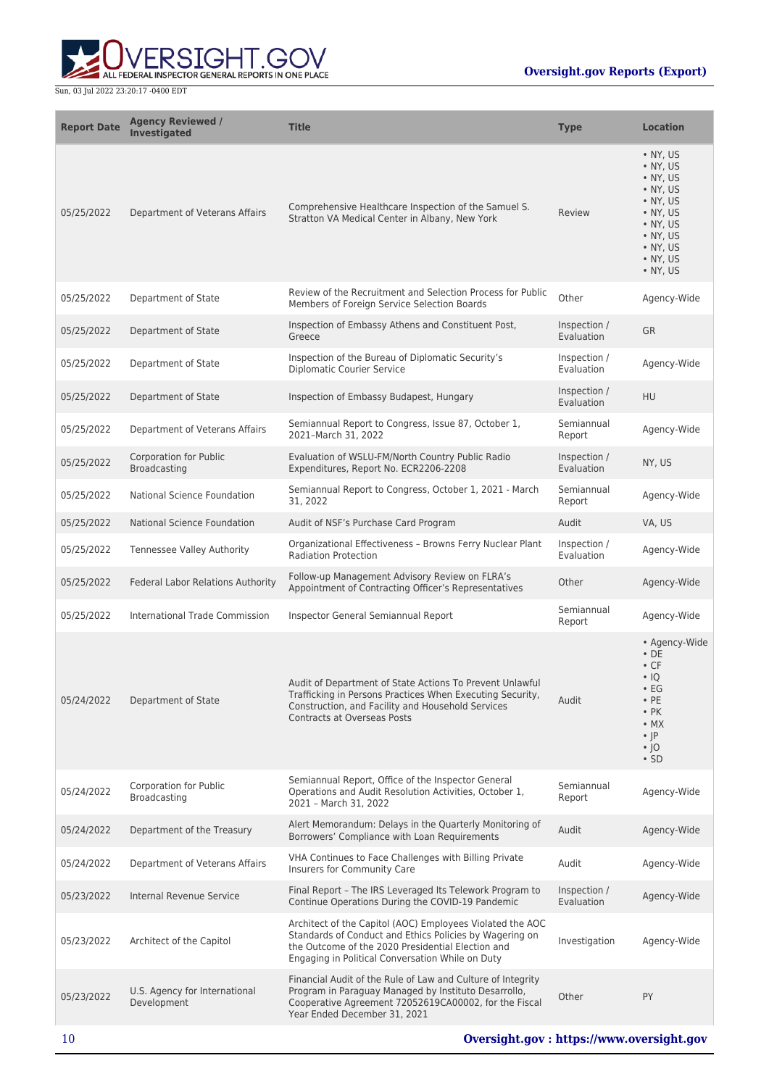

| <b>Report Date</b> | <b>Agency Reviewed /</b><br><b>Investigated</b> | <b>Title</b>                                                                                                                                                                                                                  | <b>Type</b>                | <b>Location</b>                                                                                                                                             |
|--------------------|-------------------------------------------------|-------------------------------------------------------------------------------------------------------------------------------------------------------------------------------------------------------------------------------|----------------------------|-------------------------------------------------------------------------------------------------------------------------------------------------------------|
| 05/25/2022         | Department of Veterans Affairs                  | Comprehensive Healthcare Inspection of the Samuel S.<br>Stratton VA Medical Center in Albany, New York                                                                                                                        | Review                     | $\cdot$ NY, US<br>• NY, US<br>$\cdot$ NY, US<br>• NY, US<br>• NY, US<br>• NY, US<br>• NY, US<br>• NY, US<br>• NY, US<br>• NY, US<br>• NY, US                |
| 05/25/2022         | Department of State                             | Review of the Recruitment and Selection Process for Public<br>Members of Foreign Service Selection Boards                                                                                                                     | Other                      | Agency-Wide                                                                                                                                                 |
| 05/25/2022         | Department of State                             | Inspection of Embassy Athens and Constituent Post,<br>Greece                                                                                                                                                                  | Inspection /<br>Evaluation | <b>GR</b>                                                                                                                                                   |
| 05/25/2022         | Department of State                             | Inspection of the Bureau of Diplomatic Security's<br><b>Diplomatic Courier Service</b>                                                                                                                                        | Inspection /<br>Evaluation | Agency-Wide                                                                                                                                                 |
| 05/25/2022         | Department of State                             | Inspection of Embassy Budapest, Hungary                                                                                                                                                                                       | Inspection /<br>Evaluation | HU                                                                                                                                                          |
| 05/25/2022         | Department of Veterans Affairs                  | Semiannual Report to Congress, Issue 87, October 1,<br>2021-March 31, 2022                                                                                                                                                    | Semiannual<br>Report       | Agency-Wide                                                                                                                                                 |
| 05/25/2022         | <b>Corporation for Public</b><br>Broadcasting   | Evaluation of WSLU-FM/North Country Public Radio<br>Expenditures, Report No. ECR2206-2208                                                                                                                                     | Inspection /<br>Evaluation | NY, US                                                                                                                                                      |
| 05/25/2022         | National Science Foundation                     | Semiannual Report to Congress, October 1, 2021 - March<br>31, 2022                                                                                                                                                            | Semiannual<br>Report       | Agency-Wide                                                                                                                                                 |
| 05/25/2022         | <b>National Science Foundation</b>              | Audit of NSF's Purchase Card Program                                                                                                                                                                                          | Audit                      | VA, US                                                                                                                                                      |
| 05/25/2022         | Tennessee Valley Authority                      | Organizational Effectiveness - Browns Ferry Nuclear Plant<br><b>Radiation Protection</b>                                                                                                                                      | Inspection /<br>Evaluation | Agency-Wide                                                                                                                                                 |
| 05/25/2022         | Federal Labor Relations Authority               | Follow-up Management Advisory Review on FLRA's<br>Appointment of Contracting Officer's Representatives                                                                                                                        | Other                      | Agency-Wide                                                                                                                                                 |
| 05/25/2022         | International Trade Commission                  | Inspector General Semiannual Report                                                                                                                                                                                           | Semiannual<br>Report       | Agency-Wide                                                                                                                                                 |
| 05/24/2022         | Department of State                             | Audit of Department of State Actions To Prevent Unlawful<br>Trafficking in Persons Practices When Executing Security,<br>Construction, and Facility and Household Services<br><b>Contracts at Overseas Posts</b>              | Audit                      | • Agency-Wide<br>$\cdot$ DE<br>$\cdot$ CF<br>$\cdot$ IQ<br>$\cdot$ EG<br>$\cdot$ PE<br>$\cdot$ PK<br>$\bullet$ MX<br>$\cdot$  P<br>$\cdot$  O<br>$\cdot$ SD |
| 05/24/2022         | Corporation for Public<br><b>Broadcasting</b>   | Semiannual Report, Office of the Inspector General<br>Operations and Audit Resolution Activities, October 1,<br>2021 - March 31, 2022                                                                                         | Semiannual<br>Report       | Agency-Wide                                                                                                                                                 |
| 05/24/2022         | Department of the Treasury                      | Alert Memorandum: Delays in the Quarterly Monitoring of<br>Borrowers' Compliance with Loan Requirements                                                                                                                       | Audit                      | Agency-Wide                                                                                                                                                 |
| 05/24/2022         | Department of Veterans Affairs                  | VHA Continues to Face Challenges with Billing Private<br>Insurers for Community Care                                                                                                                                          | Audit                      | Agency-Wide                                                                                                                                                 |
| 05/23/2022         | Internal Revenue Service                        | Final Report - The IRS Leveraged Its Telework Program to<br>Continue Operations During the COVID-19 Pandemic                                                                                                                  | Inspection /<br>Evaluation | Agency-Wide                                                                                                                                                 |
| 05/23/2022         | Architect of the Capitol                        | Architect of the Capitol (AOC) Employees Violated the AOC<br>Standards of Conduct and Ethics Policies by Wagering on<br>the Outcome of the 2020 Presidential Election and<br>Engaging in Political Conversation While on Duty | Investigation              | Agency-Wide                                                                                                                                                 |
| 05/23/2022         | U.S. Agency for International<br>Development    | Financial Audit of the Rule of Law and Culture of Integrity<br>Program in Paraguay Managed by Instituto Desarrollo,<br>Cooperative Agreement 72052619CA00002, for the Fiscal<br>Year Ended December 31, 2021                  | Other                      | PY                                                                                                                                                          |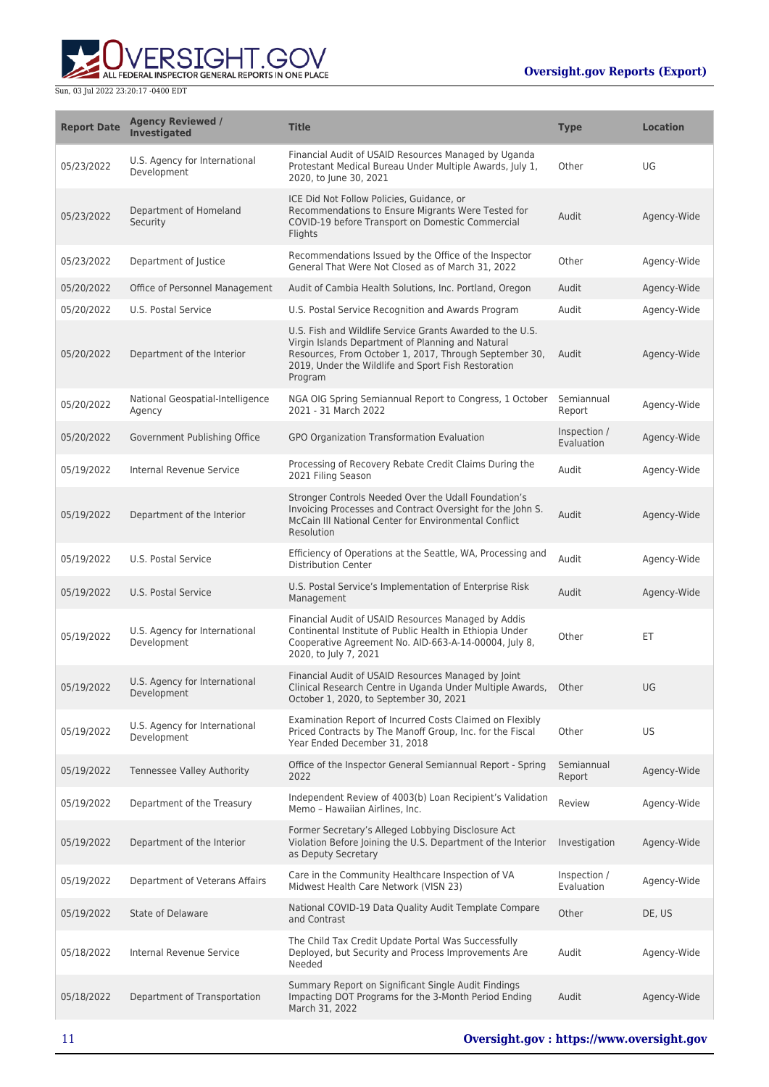

| <b>Report Date</b> | <b>Agency Reviewed /</b><br>Investigated     | <b>Title</b>                                                                                                                                                                                                                               | Type                       | <b>Location</b> |
|--------------------|----------------------------------------------|--------------------------------------------------------------------------------------------------------------------------------------------------------------------------------------------------------------------------------------------|----------------------------|-----------------|
| 05/23/2022         | U.S. Agency for International<br>Development | Financial Audit of USAID Resources Managed by Uganda<br>Protestant Medical Bureau Under Multiple Awards, July 1,<br>2020, to June 30, 2021                                                                                                 | Other                      | UG              |
| 05/23/2022         | Department of Homeland<br>Security           | ICE Did Not Follow Policies, Guidance, or<br>Recommendations to Ensure Migrants Were Tested for<br>COVID-19 before Transport on Domestic Commercial<br>Flights                                                                             | Audit                      | Agency-Wide     |
| 05/23/2022         | Department of Justice                        | Recommendations Issued by the Office of the Inspector<br>General That Were Not Closed as of March 31, 2022                                                                                                                                 | Other                      | Agency-Wide     |
| 05/20/2022         | Office of Personnel Management               | Audit of Cambia Health Solutions, Inc. Portland, Oregon                                                                                                                                                                                    | Audit                      | Agency-Wide     |
| 05/20/2022         | U.S. Postal Service                          | U.S. Postal Service Recognition and Awards Program                                                                                                                                                                                         | Audit                      | Agency-Wide     |
| 05/20/2022         | Department of the Interior                   | U.S. Fish and Wildlife Service Grants Awarded to the U.S.<br>Virgin Islands Department of Planning and Natural<br>Resources, From October 1, 2017, Through September 30,<br>2019, Under the Wildlife and Sport Fish Restoration<br>Program | Audit                      | Agency-Wide     |
| 05/20/2022         | National Geospatial-Intelligence<br>Agency   | NGA OIG Spring Semiannual Report to Congress, 1 October<br>2021 - 31 March 2022                                                                                                                                                            | Semiannual<br>Report       | Agency-Wide     |
| 05/20/2022         | Government Publishing Office                 | GPO Organization Transformation Evaluation                                                                                                                                                                                                 | Inspection /<br>Evaluation | Agency-Wide     |
| 05/19/2022         | Internal Revenue Service                     | Processing of Recovery Rebate Credit Claims During the<br>2021 Filing Season                                                                                                                                                               | Audit                      | Agency-Wide     |
| 05/19/2022         | Department of the Interior                   | Stronger Controls Needed Over the Udall Foundation's<br>Invoicing Processes and Contract Oversight for the John S.<br>McCain III National Center for Environmental Conflict<br>Resolution                                                  | Audit                      | Agency-Wide     |
| 05/19/2022         | U.S. Postal Service                          | Efficiency of Operations at the Seattle, WA, Processing and<br><b>Distribution Center</b>                                                                                                                                                  | Audit                      | Agency-Wide     |
| 05/19/2022         | U.S. Postal Service                          | U.S. Postal Service's Implementation of Enterprise Risk<br>Management                                                                                                                                                                      | Audit                      | Agency-Wide     |
| 05/19/2022         | U.S. Agency for International<br>Development | Financial Audit of USAID Resources Managed by Addis<br>Continental Institute of Public Health in Ethiopia Under<br>Cooperative Agreement No. AID-663-A-14-00004, July 8,<br>2020, to July 7, 2021                                          | Other                      | ЕT              |
| 05/19/2022         | U.S. Agency for International<br>Development | Financial Audit of USAID Resources Managed by Joint<br>Clinical Research Centre in Uganda Under Multiple Awards, Other<br>October 1, 2020, to September 30, 2021                                                                           |                            | UG              |
| 05/19/2022         | U.S. Agency for International<br>Development | Examination Report of Incurred Costs Claimed on Flexibly<br>Priced Contracts by The Manoff Group, Inc. for the Fiscal<br>Year Ended December 31, 2018                                                                                      | Other                      | US              |
| 05/19/2022         | Tennessee Valley Authority                   | Office of the Inspector General Semiannual Report - Spring<br>2022                                                                                                                                                                         | Semiannual<br>Report       | Agency-Wide     |
| 05/19/2022         | Department of the Treasury                   | Independent Review of 4003(b) Loan Recipient's Validation<br>Memo - Hawaiian Airlines, Inc.                                                                                                                                                | Review                     | Agency-Wide     |
| 05/19/2022         | Department of the Interior                   | Former Secretary's Alleged Lobbying Disclosure Act<br>Violation Before Joining the U.S. Department of the Interior<br>as Deputy Secretary                                                                                                  | Investigation              | Agency-Wide     |
| 05/19/2022         | Department of Veterans Affairs               | Care in the Community Healthcare Inspection of VA<br>Midwest Health Care Network (VISN 23)                                                                                                                                                 | Inspection /<br>Evaluation | Agency-Wide     |
| 05/19/2022         | <b>State of Delaware</b>                     | National COVID-19 Data Quality Audit Template Compare<br>and Contrast                                                                                                                                                                      | Other                      | DE, US          |
| 05/18/2022         | Internal Revenue Service                     | The Child Tax Credit Update Portal Was Successfully<br>Deployed, but Security and Process Improvements Are<br>Needed                                                                                                                       | Audit                      | Agency-Wide     |
| 05/18/2022         | Department of Transportation                 | Summary Report on Significant Single Audit Findings<br>Impacting DOT Programs for the 3-Month Period Ending<br>March 31, 2022                                                                                                              | Audit                      | Agency-Wide     |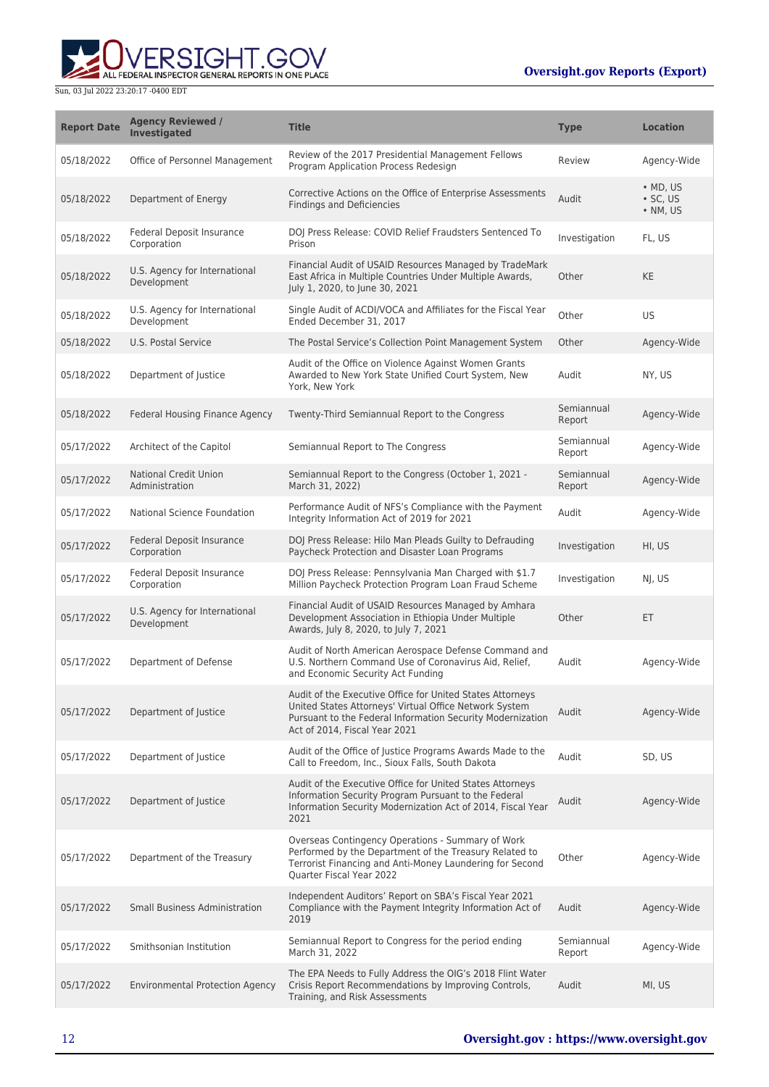ERSIGHT.GOV ALL FEDERAL INSPECTOR GENERAL REPORTS IN ONE PLACE

| <b>Report Date</b> | <b>Agency Reviewed /</b><br><b>Investigated</b> | <b>Title</b>                                                                                                                                                                                                       | <b>Type</b>          | <b>Location</b>                                |
|--------------------|-------------------------------------------------|--------------------------------------------------------------------------------------------------------------------------------------------------------------------------------------------------------------------|----------------------|------------------------------------------------|
| 05/18/2022         | Office of Personnel Management                  | Review of the 2017 Presidential Management Fellows<br>Program Application Process Redesign                                                                                                                         | Review               | Agency-Wide                                    |
| 05/18/2022         | Department of Energy                            | Corrective Actions on the Office of Enterprise Assessments<br><b>Findings and Deficiencies</b>                                                                                                                     | Audit                | $\bullet$ MD, US<br>$\cdot$ SC, US<br>• NM, US |
| 05/18/2022         | Federal Deposit Insurance<br>Corporation        | DOJ Press Release: COVID Relief Fraudsters Sentenced To<br>Prison                                                                                                                                                  | Investigation        | FL, US                                         |
| 05/18/2022         | U.S. Agency for International<br>Development    | Financial Audit of USAID Resources Managed by TradeMark<br>East Africa in Multiple Countries Under Multiple Awards,<br>July 1, 2020, to June 30, 2021                                                              | Other                | <b>KE</b>                                      |
| 05/18/2022         | U.S. Agency for International<br>Development    | Single Audit of ACDI/VOCA and Affiliates for the Fiscal Year<br>Ended December 31, 2017                                                                                                                            | Other                | <b>US</b>                                      |
| 05/18/2022         | U.S. Postal Service                             | The Postal Service's Collection Point Management System                                                                                                                                                            | Other                | Agency-Wide                                    |
| 05/18/2022         | Department of Justice                           | Audit of the Office on Violence Against Women Grants<br>Awarded to New York State Unified Court System, New<br>York, New York                                                                                      | Audit                | NY, US                                         |
| 05/18/2022         | Federal Housing Finance Agency                  | Twenty-Third Semiannual Report to the Congress                                                                                                                                                                     | Semiannual<br>Report | Agency-Wide                                    |
| 05/17/2022         | Architect of the Capitol                        | Semiannual Report to The Congress                                                                                                                                                                                  | Semiannual<br>Report | Agency-Wide                                    |
| 05/17/2022         | <b>National Credit Union</b><br>Administration  | Semiannual Report to the Congress (October 1, 2021 -<br>March 31, 2022)                                                                                                                                            | Semiannual<br>Report | Agency-Wide                                    |
| 05/17/2022         | National Science Foundation                     | Performance Audit of NFS's Compliance with the Payment<br>Integrity Information Act of 2019 for 2021                                                                                                               | Audit                | Agency-Wide                                    |
| 05/17/2022         | Federal Deposit Insurance<br>Corporation        | DOJ Press Release: Hilo Man Pleads Guilty to Defrauding<br>Paycheck Protection and Disaster Loan Programs                                                                                                          | Investigation        | HI, US                                         |
| 05/17/2022         | Federal Deposit Insurance<br>Corporation        | DOJ Press Release: Pennsylvania Man Charged with \$1.7<br>Million Paycheck Protection Program Loan Fraud Scheme                                                                                                    | Investigation        | NJ, US                                         |
| 05/17/2022         | U.S. Agency for International<br>Development    | Financial Audit of USAID Resources Managed by Amhara<br>Development Association in Ethiopia Under Multiple<br>Awards, July 8, 2020, to July 7, 2021                                                                | Other                | ET                                             |
| 05/17/2022         | Department of Defense                           | Audit of North American Aerospace Defense Command and<br>U.S. Northern Command Use of Coronavirus Aid, Relief,<br>and Economic Security Act Funding                                                                | Audit                | Agency-Wide                                    |
| 05/17/2022         | Department of Justice                           | Audit of the Executive Office for United States Attorneys<br>United States Attorneys' Virtual Office Network System<br>Pursuant to the Federal Information Security Modernization<br>Act of 2014, Fiscal Year 2021 | Audit                | Agency-Wide                                    |
| 05/17/2022         | Department of Justice                           | Audit of the Office of Justice Programs Awards Made to the<br>Call to Freedom, Inc., Sioux Falls, South Dakota                                                                                                     | Audit                | SD, US                                         |
| 05/17/2022         | Department of Justice                           | Audit of the Executive Office for United States Attorneys<br>Information Security Program Pursuant to the Federal<br>Information Security Modernization Act of 2014, Fiscal Year<br>2021                           | Audit                | Agency-Wide                                    |
| 05/17/2022         | Department of the Treasury                      | Overseas Contingency Operations - Summary of Work<br>Performed by the Department of the Treasury Related to<br>Terrorist Financing and Anti-Money Laundering for Second<br>Quarter Fiscal Year 2022                | Other                | Agency-Wide                                    |
| 05/17/2022         | <b>Small Business Administration</b>            | Independent Auditors' Report on SBA's Fiscal Year 2021<br>Compliance with the Payment Integrity Information Act of<br>2019                                                                                         | Audit                | Agency-Wide                                    |
| 05/17/2022         | Smithsonian Institution                         | Semiannual Report to Congress for the period ending<br>March 31, 2022                                                                                                                                              | Semiannual<br>Report | Agency-Wide                                    |
| 05/17/2022         | <b>Environmental Protection Agency</b>          | The EPA Needs to Fully Address the OIG's 2018 Flint Water<br>Crisis Report Recommendations by Improving Controls,<br>Training, and Risk Assessments                                                                | Audit                | MI, US                                         |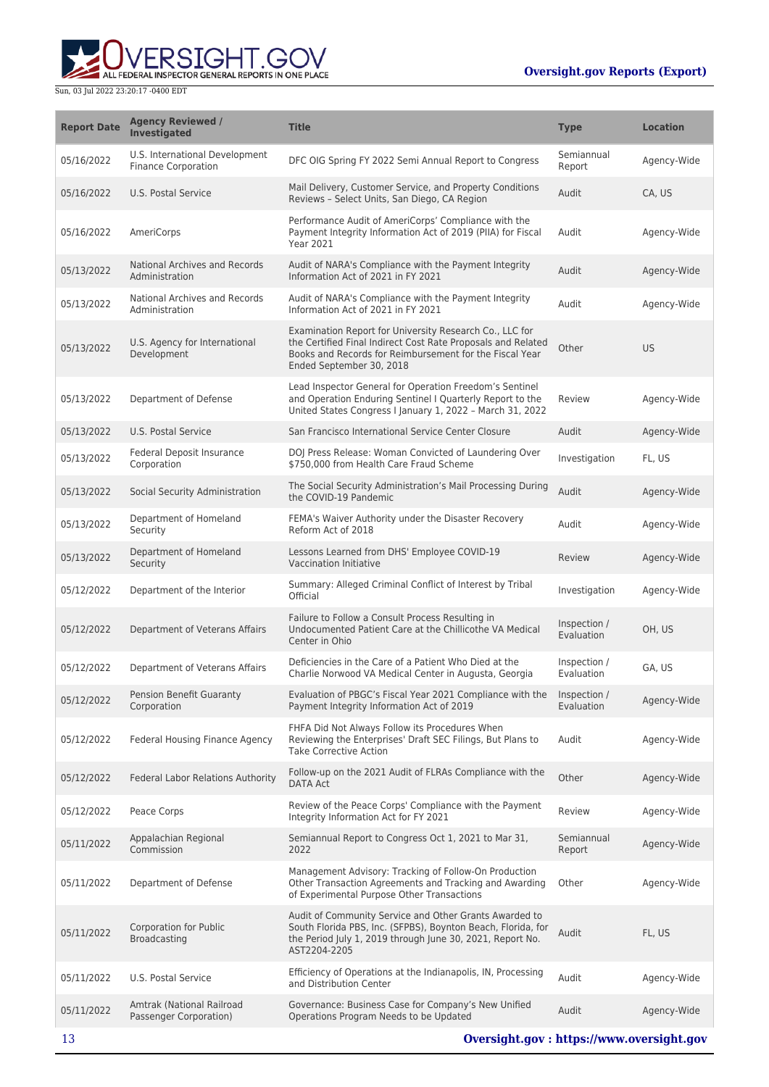

| <b>Report Date</b> | <b>Agency Reviewed /</b><br><b>Investigated</b>              | <b>Title</b>                                                                                                                                                                                                   | <b>Type</b>                | <b>Location</b> |
|--------------------|--------------------------------------------------------------|----------------------------------------------------------------------------------------------------------------------------------------------------------------------------------------------------------------|----------------------------|-----------------|
| 05/16/2022         | U.S. International Development<br><b>Finance Corporation</b> | DFC OIG Spring FY 2022 Semi Annual Report to Congress                                                                                                                                                          | Semiannual<br>Report       | Agency-Wide     |
| 05/16/2022         | U.S. Postal Service                                          | Mail Delivery, Customer Service, and Property Conditions<br>Reviews - Select Units, San Diego, CA Region                                                                                                       | Audit                      | CA, US          |
| 05/16/2022         | AmeriCorps                                                   | Performance Audit of AmeriCorps' Compliance with the<br>Payment Integrity Information Act of 2019 (PIIA) for Fiscal<br><b>Year 2021</b>                                                                        | Audit                      | Agency-Wide     |
| 05/13/2022         | National Archives and Records<br>Administration              | Audit of NARA's Compliance with the Payment Integrity<br>Information Act of 2021 in FY 2021                                                                                                                    | Audit                      | Agency-Wide     |
| 05/13/2022         | National Archives and Records<br>Administration              | Audit of NARA's Compliance with the Payment Integrity<br>Information Act of 2021 in FY 2021                                                                                                                    | Audit                      | Agency-Wide     |
| 05/13/2022         | U.S. Agency for International<br>Development                 | Examination Report for University Research Co., LLC for<br>the Certified Final Indirect Cost Rate Proposals and Related<br>Books and Records for Reimbursement for the Fiscal Year<br>Ended September 30, 2018 | Other                      | <b>US</b>       |
| 05/13/2022         | Department of Defense                                        | Lead Inspector General for Operation Freedom's Sentinel<br>and Operation Enduring Sentinel I Quarterly Report to the<br>United States Congress I January 1, 2022 - March 31, 2022                              | Review                     | Agency-Wide     |
| 05/13/2022         | <b>U.S. Postal Service</b>                                   | San Francisco International Service Center Closure                                                                                                                                                             | Audit                      | Agency-Wide     |
| 05/13/2022         | <b>Federal Deposit Insurance</b><br>Corporation              | DOJ Press Release: Woman Convicted of Laundering Over<br>\$750,000 from Health Care Fraud Scheme                                                                                                               | Investigation              | FL, US          |
| 05/13/2022         | Social Security Administration                               | The Social Security Administration's Mail Processing During<br>the COVID-19 Pandemic                                                                                                                           | Audit                      | Agency-Wide     |
| 05/13/2022         | Department of Homeland<br>Security                           | FEMA's Waiver Authority under the Disaster Recovery<br>Reform Act of 2018                                                                                                                                      | Audit                      | Agency-Wide     |
| 05/13/2022         | Department of Homeland<br>Security                           | Lessons Learned from DHS' Employee COVID-19<br>Vaccination Initiative                                                                                                                                          | Review                     | Agency-Wide     |
| 05/12/2022         | Department of the Interior                                   | Summary: Alleged Criminal Conflict of Interest by Tribal<br>Official                                                                                                                                           | Investigation              | Agency-Wide     |
| 05/12/2022         | Department of Veterans Affairs                               | Failure to Follow a Consult Process Resulting in<br>Undocumented Patient Care at the Chillicothe VA Medical<br>Center in Ohio                                                                                  | Inspection /<br>Evaluation | OH, US          |
| 05/12/2022         | Department of Veterans Affairs                               | Deficiencies in the Care of a Patient Who Died at the<br>Charlie Norwood VA Medical Center in Augusta, Georgia                                                                                                 | Inspection /<br>Evaluation | GA, US          |
| 05/12/2022         | Pension Benefit Guaranty<br>Corporation                      | Evaluation of PBGC's Fiscal Year 2021 Compliance with the Inspection /<br>Payment Integrity Information Act of 2019                                                                                            | Evaluation                 | Agency-Wide     |
| 05/12/2022         | <b>Federal Housing Finance Agency</b>                        | FHFA Did Not Always Follow its Procedures When<br>Reviewing the Enterprises' Draft SEC Filings, But Plans to<br><b>Take Corrective Action</b>                                                                  | Audit                      | Agency-Wide     |
| 05/12/2022         | Federal Labor Relations Authority                            | Follow-up on the 2021 Audit of FLRAs Compliance with the<br><b>DATA Act</b>                                                                                                                                    | Other                      | Agency-Wide     |
| 05/12/2022         | Peace Corps                                                  | Review of the Peace Corps' Compliance with the Payment<br>Integrity Information Act for FY 2021                                                                                                                | Review                     | Agency-Wide     |
| 05/11/2022         | Appalachian Regional<br>Commission                           | Semiannual Report to Congress Oct 1, 2021 to Mar 31,<br>2022                                                                                                                                                   | Semiannual<br>Report       | Agency-Wide     |
| 05/11/2022         | Department of Defense                                        | Management Advisory: Tracking of Follow-On Production<br>Other Transaction Agreements and Tracking and Awarding<br>of Experimental Purpose Other Transactions                                                  | Other                      | Agency-Wide     |
| 05/11/2022         | Corporation for Public<br><b>Broadcasting</b>                | Audit of Community Service and Other Grants Awarded to<br>South Florida PBS, Inc. (SFPBS), Boynton Beach, Florida, for<br>the Period July 1, 2019 through June 30, 2021, Report No.<br>AST2204-2205            | Audit                      | FL, US          |
| 05/11/2022         | U.S. Postal Service                                          | Efficiency of Operations at the Indianapolis, IN, Processing<br>and Distribution Center                                                                                                                        | Audit                      | Agency-Wide     |
| 05/11/2022         | Amtrak (National Railroad<br>Passenger Corporation)          | Governance: Business Case for Company's New Unified<br>Operations Program Needs to be Updated                                                                                                                  | Audit                      | Agency-Wide     |